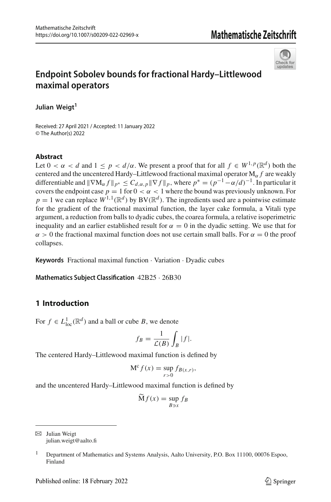

# **Endpoint Sobolev bounds for fractional Hardy–Littlewood maximal operators**

**Julian Weigt<sup>1</sup>**

Received: 27 April 2021 / Accepted: 11 January 2022 © The Author(s) 2022

## **Abstract**

Let  $0 < \alpha < d$  and  $1 \le p < d/\alpha$ . We present a proof that for all  $f \in W^{1,p}(\mathbb{R}^d)$  both the centered and the uncentered Hardy–Littlewood fractional maximal operator  $M_\alpha f$  are weakly differentiable and  $\|\nabla M_{\alpha} f\|_{p^*} \leq C_{d,\alpha,p} \|\nabla f\|_p$ , where  $p^* = (p^{-1} - \alpha/d)^{-1}$ . In particular it covers the endpoint case  $p = 1$  for  $0 < \alpha < 1$  where the bound was previously unknown. For  $p = 1$  we can replace  $W^{1,1}(\mathbb{R}^d)$  by  $BV(\mathbb{R}^d)$ . The ingredients used are a pointwise estimate for the gradient of the fractional maximal function, the layer cake formula, a Vitali type argument, a reduction from balls to dyadic cubes, the coarea formula, a relative isoperimetric inequality and an earlier established result for  $\alpha = 0$  in the dyadic setting. We use that for  $\alpha > 0$  the fractional maximal function does not use certain small balls. For  $\alpha = 0$  the proof collapses.

**Keywords** Fractional maximal function · Variation · Dyadic cubes

**Mathematics Subject Classification** 42B25 · 26B30

# **1 Introduction**

For  $f \in L^1_{loc}(\mathbb{R}^d)$  and a ball or cube *B*, we denote

$$
f_B = \frac{1}{\mathcal{L}(B)} \int_B |f|.
$$

The centered Hardy–Littlewood maximal function is defined by

$$
M^{c} f(x) = \sup_{r>0} f_{B(x,r)},
$$

and the uncentered Hardy–Littlewood maximal function is defined by

$$
\widetilde{\mathbf{M}}f(x) = \sup_{B \ni x} f_B
$$

 $\boxtimes$  Julian Weigt julian.weigt@aalto.fi

<sup>1</sup> Department of Mathematics and Systems Analysis, Aalto University, P.O. Box 11100, 00076 Espoo, Finland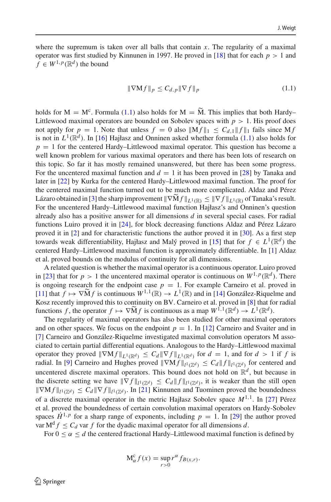where the supremum is taken over all balls that contain  $x$ . The regularity of a maximal operator was first studied by Kinnunen in 1997. He proved in [\[18](#page-20-0)] that for each  $p > 1$  and  $f \in W^{1,p}(\mathbb{R}^d)$  the bound

<span id="page-1-0"></span>
$$
\|\nabla \mathbf{M}f\|_{p} \le C_{d,p} \|\nabla f\|_{p} \tag{1.1}
$$

holds for  $M = M^c$ . Formula [\(1.1\)](#page-1-0) also holds for  $M = \tilde{M}$ . This implies that both Hardy– Littlewood maximal operators are bounded on Sobolev spaces with  $p > 1$ . His proof does not apply for  $p = 1$ . Note that unless  $f = 0$  also  $||Mf||_1 \leq C_{d,1} ||f||_1$  fails since Mf is not in  $L^1(\mathbb{R}^d)$ . In [\[16](#page-20-1)] Hajłasz and Onninen asked whether formula [\(1.1\)](#page-1-0) also holds for  $p = 1$  for the centered Hardy–Littlewood maximal operator. This question has become a well known problem for various maximal operators and there has been lots of research on this topic. So far it has mostly remained unanswered, but there has been some progress. For the uncentered maximal function and  $d = 1$  it has been proved in [\[28](#page-20-2)] by Tanaka and later in [\[22](#page-20-3)] by Kurka for the centered Hardy–Littlewood maximal function. The proof for the centered maximal function turned out to be much more complicated. Aldaz and Pérez Lázaro obtained in [\[3\]](#page-19-0) the sharp improvement  $\|\nabla M f\|_{L^1(\mathbb{R})} \leq \|\nabla f\|_{L^1(\mathbb{R})}$  of Tanaka's result. For the uncentered Hardy–Littlewood maximal function Hajłasz's and Onninen's question already also has a positive answer for all dimensions *d* in several special cases. For radial functions Luiro proved it in [\[24\]](#page-20-4), for block decreasing functions Aldaz and Pérez Lázaro proved it in [\[2](#page-19-1)] and for characteristic functions the author proved it in [\[30](#page-20-5)]. As a first step towards weak differentiability, Hajłasz and Malý proved in [\[15\]](#page-20-6) that for  $f \in L^1(\mathbb{R}^d)$  the centered Hardy–Littlewood maximal function is approximately differentiable. In [\[1\]](#page-19-2) Aldaz et al. proved bounds on the modulus of continuity for all dimensions.

A related question is whether the maximal operator is a continuous operator. Luiro proved in [\[23\]](#page-20-7) that for  $p > 1$  the uncentered maximal operator is continuous on  $W^{1,p}(\mathbb{R}^d)$ . There is ongoing research for the endpoint case  $p = 1$ . For example Carneiro et al. proved in  $[11]$  that  $f \mapsto \nabla \tilde{M} f$  is continuous  $W^{1,1}(\mathbb{R}) \to L^1(\mathbb{R})$  and in [\[14\]](#page-20-8) González-Riquelme and Kosz recently improved this to continuity on BV. Carneiro et al. proved in [\[8](#page-19-4)] that for radial functions *f*, the operator  $f \mapsto \nabla \widetilde{M} f$  is continuous as a map  $W^{1,1}(\mathbb{R}^d) \to L^1(\mathbb{R}^d)$ .

The regularity of maximal operators has also been studied for other maximal operators and on other spaces. We focus on the endpoint  $p = 1$ . In [\[12\]](#page-19-5) Carneiro and Svaiter and in [\[7](#page-19-6)] Carneiro and González-Riquelme investigated maximal convolution operators M associated to certain partial differential equations. Analogous to the Hardy–Littlewood maximal operator they proved  $\|\nabla M f\|_{L^1(\mathbb{R}^d)} \leq C_d \|\nabla f\|_{L^1(\mathbb{R}^d)}$  for  $d = 1$ , and for  $d > 1$  if f is radial. In [\[9\]](#page-19-7) Carneiro and Hughes proved  $\|\nabla M f\|_{L^1(\mathbb{Z}^d)} \leq C_d \|f\|_{L^1(\mathbb{Z}^d)}$  for centered and uncentered discrete maximal operators. This bound does not hold on  $\mathbb{R}^d$ , but because in the discrete setting we have  $\|\nabla f\|_{l^1(\mathbb{Z}^d)} \leq C_d \|f\|_{l^1(\mathbb{Z}^d)}$ , it is weaker than the still open  $\|\nabla M f\|_{l^1(\mathbb{Z}^d)} \leq C_d \|\nabla f\|_{l^1(\mathbb{Z}^d)}$ . In [\[21\]](#page-20-9) Kinnunen and Tuominen proved the boundedness of a discrete maximal operator in the metric Hajłasz Sobolev space *M*1,1. In [\[27](#page-20-10)] Pérez et al. proved the boundedness of certain convolution maximal operators on Hardy-Sobolev spaces  $\dot{H}^{1,p}$  for a sharp range of exponents, including  $p = 1$ . In [\[29](#page-20-11)] the author proved var  $M<sup>d</sup> f \leq C_d$  var *f* for the dyadic maximal operator for all dimensions *d*.

For  $0 \le \alpha \le d$  the centered fractional Hardy–Littlewood maximal function is defined by

$$
M_{\alpha}^{c} f(x) = \sup_{r>0} r^{\alpha} f_{B(x,r)}.
$$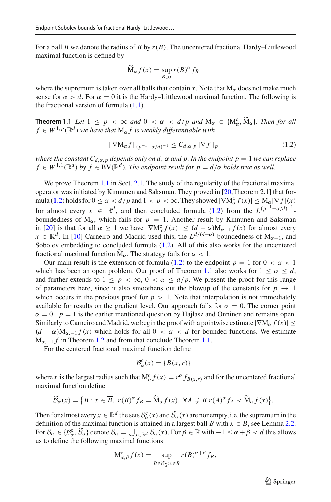For a ball *B* we denote the radius of *B* by  $r(B)$ . The uncentered fractional Hardy–Littlewood maximal function is defined by

$$
\widetilde{\mathbf{M}}_{\alpha} f(x) = \sup_{B \ni x} r(B)^{\alpha} f_B
$$

where the supremum is taken over all balls that contain *x*. Note that  $M_{\alpha}$  does not make much sense for  $\alpha > d$ . For  $\alpha = 0$  it is the Hardy–Littlewood maximal function. The following is the fractional version of formula  $(1.1)$ .

<span id="page-2-0"></span>**Theorem 1.1** *Let*  $1 \leq p < \infty$  *and*  $0 < \alpha < d/p$  *and*  $M_{\alpha} \in \{M_{\alpha}^c, \tilde{M}_{\alpha}\}\)$ . *Then for all*  $f \in W^{1,p}(\mathbb{R}^d)$  we have that M, f is weakly differentiable with  $f \in W^{1,p}(\mathbb{R}^d)$  *we have that*  $M_\alpha f$  *is weakly differentiable with* 

<span id="page-2-1"></span>
$$
\|\nabla \mathbf{M}_{\alpha} f\|_{(p^{-1}-\alpha/d)^{-1}} \leq C_{d,\alpha,p} \|\nabla f\|_{p} \tag{1.2}
$$

*where the constant*  $C_{d,\alpha,p}$  *depends only on d,*  $\alpha$  *and p. In the endpoint p* = 1 *we can replace*  $f \in W^{1,1}(\mathbb{R}^d)$  *by*  $f \in BV(\mathbb{R}^d)$ *. The endpoint result for*  $p = d/\alpha$  *holds true as well.* 

We prove Theorem [1.1](#page-2-0) in Sect. [2.1.](#page-7-0) The study of the regularity of the fractional maximal operator was initiated by Kinnunen and Saksman. They proved in [\[20](#page-20-12),Theorem 2.1] that for-mula [\(1.2\)](#page-2-1) holds for  $0 \le \alpha < d/p$  and  $1 < p < \infty$ . They showed  $|\nabla M_{\alpha}^{c} f(x)| \le M_{\alpha} |\nabla f|(x)$ for almost every  $x \in \mathbb{R}^d$ , and then concluded formula [\(1.2\)](#page-2-1) from the  $L^{(p^{-1}-\alpha/d)^{-1}}$ . boundedness of  $M_{\alpha}$ , which fails for  $p = 1$ . Another result by Kinnunen and Saksman in [\[20](#page-20-12)] is that for all  $\alpha \geq 1$  we have  $|\nabla M_{\alpha}^c f(x)| \leq (d - \alpha)M_{\alpha-1}f(x)$  for almost every *x* ∈  $\mathbb{R}^d$ . In [\[10\]](#page-19-8) Carneiro and Madrid used this, the  $L^{d/(d-\alpha)}$ -boundedness of M<sub>α−1</sub>, and Sobolev embedding to concluded formula [\(1.2\)](#page-2-1). All of this also works for the uncentered fractional maximal function  $\widetilde{M}_{\alpha}$ . The strategy fails for  $\alpha < 1$ .

Our main result is the extension of formula [\(1.2\)](#page-2-1) to the endpoint  $p = 1$  for  $0 < \alpha < 1$ which has been an open problem. Our proof of Theorem [1.1](#page-2-0) also works for  $1 \le \alpha \le d$ , and further extends to  $1 \leq p < \infty$ ,  $0 < \alpha \leq d/p$ . We present the proof for this range of parameters here, since it also smoothens out the blowup of the constants for  $p \to 1$ which occurs in the previous proof for  $p > 1$ . Note that interpolation is not immediately available for results on the gradient level. Our approach fails for  $\alpha = 0$ . The corner point  $\alpha = 0$ ,  $p = 1$  is the earlier mentioned question by Hajłasz and Onninen and remains open. Similarly to Carneiro and Madrid, we begin the proof with a pointwise estimate  $|\nabla M_{\alpha} f(x)| \le$  $(d - \alpha)M_{\alpha,-1}f(x)$  which holds for all  $0 < \alpha < d$  for bounded functions. We estimate  $M_{\alpha,-1} f$  in Theorem [1.2](#page-3-0) and from that conclude Theorem [1.1.](#page-2-0)

For the centered fractional maximal function define

$$
\mathcal{B}_{\alpha}^{\mathbf{C}}(x) = \{B(x, r)\}
$$

where *r* is the largest radius such that  $M_{\alpha}^{c} f(x) = r^{\alpha} f_{B(x,r)}$  and for the uncentered fractional maximal function define

$$
\widetilde{\mathcal{B}}_{\alpha}(x) = \left\{ B : x \in \overline{B}, \ r(B)^{\alpha} f_B = \widetilde{M}_{\alpha} f(x), \ \forall A \supsetneq B \ r(A)^{\alpha} f_A < \widetilde{M}_{\alpha} f(x) \right\}.
$$

Then for almost every  $x \in \mathbb{R}^d$  the sets  $\mathcal{B}^c_{\alpha}(x)$  and  $\widetilde{\mathcal{B}}_{\alpha}(x)$  are nonempty, i.e. the supremum in the definition of the maximal function is attained in a largest hell *B* with  $x \in \overline{B}$  are Largest definition of the maximal function is attained in a largest ball *B* with  $x \in \overline{B}$ , see Lemma [2.2.](#page-7-1) For  $B_{\alpha} \in \{B_{\alpha}^c, \widetilde{B}_{\alpha}\}\)$  denote  $B_{\alpha} = \bigcup_{x \in \mathbb{R}^d} B_{\alpha}(x)$ . For  $\beta \in \mathbb{R}$  with  $-1 \le \alpha + \beta < d$  this allows us to define the following maximal functions

$$
M_{\alpha,\beta}^{c} f(x) = \sup_{B \in \mathcal{B}_{\alpha}^{c}: x \in \overline{B}} r(B)^{\alpha + \beta} f_{B},
$$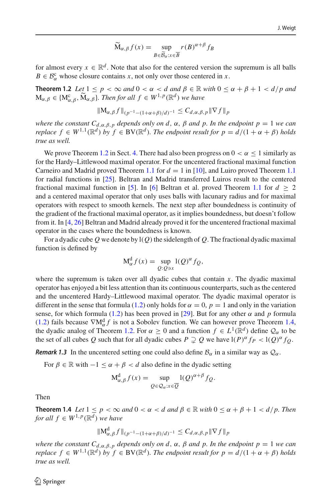$$
\widetilde{\mathbf{M}}_{\alpha,\beta}f(x) = \sup_{B \in \widetilde{\mathcal{B}}_{\alpha}:x \in \overline{B}} r(B)^{\alpha+\beta} f_B
$$

<span id="page-3-0"></span>for almost every  $x \in \mathbb{R}^d$ . Note that also for the centered version the supremum is all balls  $B \in \mathcal{B}_{\alpha}^c$  whose closure contains *x*, not only over those centered in *x*.

**Theorem 1.2** *Let*  $1 \leq p \leq \infty$  *and*  $0 \leq \alpha \leq d$  *and*  $\beta \in \mathbb{R}$  *with*  $0 \leq \alpha + \beta + 1 \leq d/p$  *and*  $M_{\alpha,\beta} \in \{M_{\alpha,\beta}^c, \widetilde{M}_{\alpha,\beta}\}$ *. Then for all*  $f \in W^{1,p}(\mathbb{R}^d)$  we have

$$
\|\mathbf{M}_{\alpha,\beta}f\|_{(p^{-1}-(1+\alpha+\beta)/d)^{-1}} \leq C_{d,\alpha,\beta,p} \|\nabla f\|_{p}
$$

*where the constant*  $C_{d,\alpha,\beta,p}$  *depends only on d,*  $\alpha$ *,*  $\beta$  *and p. In the endpoint p* = 1 *we can replace*  $f \in W^{1,1}(\mathbb{R}^d)$  *by*  $f \in BV(\mathbb{R}^d)$ *. The endpoint result for*  $p = d/(1 + \alpha + \beta)$  *holds true as well.*

We prove Theorem [1.2](#page-3-0) in Sect. [4.](#page-16-0) There had also been progress on  $0 < \alpha < 1$  similarly as for the Hardy–Littlewood maximal operator. For the uncentered fractional maximal function Carneiro and Madrid proved Theorem [1.1](#page-2-0) for  $d = 1$  in [\[10\]](#page-19-8), and Luiro proved Theorem 1.1 for radial functions in [\[25\]](#page-20-13). Beltran and Madrid transferred Luiros result to the centered fractional maximal function in [\[5](#page-19-9)]. In [\[6\]](#page-19-10) Beltran et al. proved Theorem [1.1](#page-2-0) for  $d > 2$ and a centered maximal operator that only uses balls with lacunary radius and for maximal operators with respect to smooth kernels. The next step after boundedness is continuity of the gradient of the fractional maximal operator, as it implies boundedness, but doesn't follow from it. In [\[4](#page-19-11), [26](#page-20-14)] Beltran and Madrid already proved it for the uncentered fractional maximal operator in the cases where the boundedness is known.

For a dyadic cube Q we denote by  $I(Q)$  the sidelength of Q. The fractional dyadic maximal function is defined by

$$
M_{\alpha}^{d} f(x) = \sup_{Q: Q \ni x} l(Q)^{\alpha} f_{Q},
$$

where the supremum is taken over all dyadic cubes that contain *x*. The dyadic maximal operator has enjoyed a bit less attention than its continuous counterparts, such as the centered and the uncentered Hardy–Littlewood maximal operator. The dyadic maximal operator is different in the sense that formula [\(1.2\)](#page-2-1) only holds for  $\alpha = 0$ ,  $p = 1$  and only in the variation sense, for which formula [\(1.2\)](#page-2-1) has been proved in [\[29\]](#page-20-11). But for any other  $\alpha$  and  $p$  formula [\(1.2\)](#page-2-1) fails because  $\nabla M_{\alpha}^{d} f$  is not a Sobolev function. We can however prove Theorem [1.4,](#page-3-1) the dyadic analog of Theorem [1.2.](#page-3-0) For  $\alpha \ge 0$  and a function  $f \in L^1(\mathbb{R}^d)$  define  $\mathcal{Q}_\alpha$  to be the set of all cubes Q such that for all dyadic cubes  $P \supsetneq Q$  we have  $I(P)^{\alpha} f_P < I(Q)^{\alpha} f_Q$ .

*Remark 1.3* In the uncentered setting one could also define  $B_\alpha$  in a similar way as  $Q_\alpha$ .

For  $\beta \in \mathbb{R}$  with  $-1 \leq \alpha + \beta < d$  also define in the dyadic setting

$$
M_{\alpha,\beta}^{d} f(x) = \sup_{Q \in \mathcal{Q}_{\alpha}: x \in \overline{Q}} l(Q)^{\alpha+\beta} f_{Q}.
$$

<span id="page-3-1"></span>Then

**Theorem 1.4** *Let*  $1 \leq p < \infty$  *and*  $0 < \alpha < d$  *and*  $\beta \in \mathbb{R}$  *with*  $0 \leq \alpha + \beta + 1 < d/p$ *. Then for all*  $f \in W^{1,p}(\mathbb{R}^d)$  *we have* 

$$
\|\mathbf{M}_{\alpha,\beta}^{\mathrm{d}} f\|_{(p^{-1}-(1+\alpha+\beta)/d)^{-1}} \leq C_{d,\alpha,\beta,p} \|\nabla f\|_{p}
$$

*where the constant*  $C_{d,\alpha,\beta,p}$  *depends only on d,*  $\alpha$ *,*  $\beta$  *and p. In the endpoint p* = 1 *we can replace*  $f \in W^{1,1}(\mathbb{R}^d)$  *by*  $f \in BV(\mathbb{R}^d)$ *. The endpoint result for*  $p = d/(1 + \alpha + \beta)$  *holds true as well.*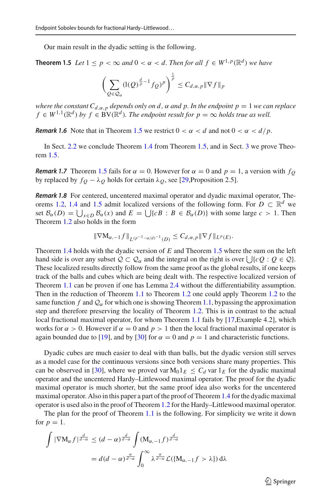<span id="page-4-0"></span>Our main result in the dyadic setting is the following.

**Theorem 1.5** *Let*  $1 \leq p \leq \infty$  *and*  $0 \leq \alpha \leq d$ . *Then for all*  $f \in W^{1,p}(\mathbb{R}^d)$  *we have* 

$$
\left(\sum_{Q\in\mathcal{Q}_{\alpha}}(\mathrm{I}(Q)^{\frac{d}{p}-1}f_{Q})^{p}\right)^{\frac{1}{p}}\leq C_{d,\alpha,p}\|\nabla f\|_{p}
$$

*where the constant*  $C_{d,\alpha,p}$  *depends only on d,*  $\alpha$  *and p. In the endpoint p* = 1 *we can replace*  $f \in W^{1,1}(\mathbb{R}^d)$  *by*  $f \in BV(\mathbb{R}^d)$ *. The endpoint result for*  $p = \infty$  *holds true as well.* 

*Remark 1.6* Note that in Theorem [1.5](#page-4-0) we restrict  $0 < \alpha < d$  and not  $0 < \alpha < d/p$ .

In Sect. [2.2](#page-9-0) we conclude Theorem [1.4](#page-3-1) from Theorem [1.5,](#page-4-0) and in Sect. [3](#page-11-0) we prove Theorem [1.5.](#page-4-0)

*Remark 1.7* Theorem [1.5](#page-4-0) fails for  $\alpha = 0$ . However for  $\alpha = 0$  and  $p = 1$ , a version with  $f_Q$ by replaced by  $f_Q - \lambda_Q$  holds for certain  $\lambda_Q$ , see [\[29,](#page-20-11) Proposition 2.5].

*Remark 1.8* For centered, uncentered maximal operator and dyadic maximal operator, The-orems [1.2,](#page-3-0) [1.4](#page-3-1) and [1.5](#page-4-0) admit localized versions of the following form. For  $D \subset \mathbb{R}^d$  we set  $\mathcal{B}_{\alpha}(D) = \bigcup_{x \in D} \mathcal{B}_{\alpha}(x)$  and  $E = \bigcup \{cB : B \in \mathcal{B}_{\alpha}(D)\}$  with some large  $c > 1$ . Then Theorem [1.2](#page-3-0) also holds in the form

$$
\|\nabla M_{\alpha,-1}f\|_{L^{(p^{-1}-\alpha/d)^{-1}}(D)} \leq C_{d,\alpha,p} \|\nabla f\|_{L^p(E)}.
$$

Theorem [1.4](#page-3-1) holds with the dyadic version of *E* and Theorem [1.5](#page-4-0) where the sum on the left hand side is over any subset  $Q \subset Q_{\alpha}$  and the integral on the right is over  $\bigcup \{cQ : Q \in Q\}.$ These localized results directly follow from the same proof as the global results, if one keeps track of the balls and cubes which are being dealt with. The respective localized version of Theorem [1.1](#page-2-0) can be proven if one has Lemma [2.4](#page-8-0) without the differentiability assumption. Then in the reduction of Theorem [1.1](#page-2-0) to Theorem [1.2](#page-3-0) one could apply Theorem [1.2](#page-3-0) to the same function *f* and  $\mathcal{Q}_{\alpha}$  for which one is showing Theorem [1.1,](#page-2-0) by passing the approximation step and therefore preserving the locality of Theorem [1.2.](#page-3-0) This is in contrast to the actual local fractional maximal operator, for whom Theorem [1.1](#page-2-0) fails by [\[17,](#page-20-15) Example 4.2], which works for  $\alpha > 0$ . However if  $\alpha = 0$  and  $p > 1$  then the local fractional maximal operator is again bounded due to [\[19](#page-20-16)], and by [\[30\]](#page-20-5) for  $\alpha = 0$  and  $p = 1$  and characteristic functions.

Dyadic cubes are much easier to deal with than balls, but the dyadic version still serves as a model case for the continuous versions since both versions share many properties. This can be observed in [\[30\]](#page-20-5), where we proved var  $M_01<sub>E</sub> \leq C_d$  var  $1<sub>E</sub>$  for the dyadic maximal operator and the uncentered Hardy–Littlewood maximal operator. The proof for the dyadic maximal operator is much shorter, but the same proof idea also works for the uncentered maximal operator. Also in this paper a part of the proof of Theorem [1.4](#page-3-1) for the dyadic maximal operator is used also in the proof of Theorem [1.2](#page-3-0) for the Hardy–Littlewood maximal operator.

The plan for the proof of Theorem [1.1](#page-2-0) is the following. For simplicity we write it down for  $p = 1$ .

$$
\int |\nabla \mathbf{M}_{\alpha} f|^{\frac{d}{d-\alpha}} \le (d-\alpha)^{\frac{d}{d-\alpha}} \int (\mathbf{M}_{\alpha,-1} f)^{\frac{d}{d-\alpha}}
$$

$$
= d(d-\alpha)^{\frac{\alpha}{d-\alpha}} \int_0^{\infty} \lambda^{\frac{\alpha}{d-\alpha}} \mathcal{L}(\{\mathbf{M}_{\alpha,-1} f > \lambda\}) d\lambda
$$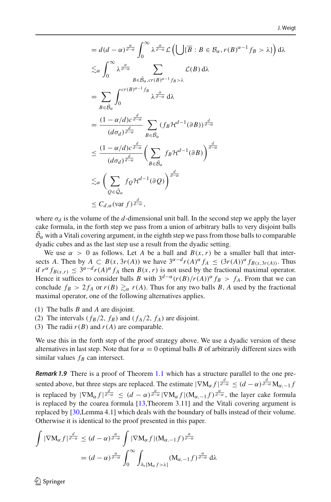$$
= d(d - \alpha) \frac{\alpha}{d - \alpha} \int_0^{\infty} \lambda \frac{\alpha}{d - \alpha} \mathcal{L} \left( \bigcup \{\overline{B} : B \in \mathcal{B}_{\alpha}, r(B)^{\alpha - 1} f_B > \lambda \} \right) d\lambda
$$
  
\n
$$
\leq_{\alpha} \int_0^{\infty} \lambda \frac{\alpha}{d - \alpha} \sum_{B \in \tilde{\mathcal{B}}_{\alpha}, cr(B)^{\alpha - 1} f_B > \lambda} \mathcal{L}(B) d\lambda
$$
  
\n
$$
= \sum_{B \in \tilde{\mathcal{B}}_{\alpha}} \int_0^{cr(B)^{\alpha - 1} f_B} \lambda \frac{\alpha}{d - \alpha} d\lambda
$$
  
\n
$$
= \frac{(1 - \alpha/d)c^{\frac{d}{d - \alpha}}}{(d\sigma_d)^{\frac{d}{d - \alpha}}} \sum_{B \in \tilde{\mathcal{B}}_{\alpha}} (f_B \mathcal{H}^{d - 1}(\partial B))^{\frac{d}{d - \alpha}}
$$
  
\n
$$
\leq \frac{(1 - \alpha/d)c^{\frac{d}{d - \alpha}}}{(d\sigma_d)^{\frac{d}{d - \alpha}}} \left( \sum_{B \in \tilde{\mathcal{B}}_{\alpha}} f_B \mathcal{H}^{d - 1}(\partial B) \right)^{\frac{d}{d - \alpha}}
$$
  
\n
$$
\leq_{\alpha} \left( \sum_{Q \in \tilde{\mathcal{Q}}_{\alpha}} f_Q \mathcal{H}^{d - 1}(\partial Q) \right)^{\frac{d}{d - \alpha}}
$$
  
\n
$$
\leq C_{d, \alpha} (\text{var } f)^{\frac{d}{d - \alpha}},
$$

where  $\sigma_d$  is the volume of the *d*-dimensional unit ball. In the second step we apply the layer cake formula, in the forth step we pass from a union of arbitrary balls to very disjoint balls  $B_{\alpha}$  with a Vitali covering argument, in the eighth step we pass from those balls to comparable dyadic cubes and as the last step use a result from the dyadic setting.

We use  $\alpha > 0$  as follows. Let A be a ball and  $B(x, r)$  be a smaller ball that intersects *A*. Then by  $A \subset B(x, 3r(A))$  we have  $3^{\alpha-d}r(A)^{\alpha} f_A \leq (3r(A))^{\alpha} f_{B(x, 3r(A))}$ . Thus if  $r^{\alpha} f_{B(x,r)} \leq 3^{\alpha-d} r(A)^{\alpha} f_A$  then  $B(x,r)$  is not used by the fractional maximal operator. Hence it suffices to consider balls *B* with  $3^{d-\alpha}(r(B)/r(A))^{\alpha} f_B > f_A$ . From that we can conclude  $f_B > 2f_A$  or  $r(B) \geq_\alpha r(A)$ . Thus for any two balls *B*, *A* used by the fractional maximal operator, one of the following alternatives applies.

- (1) The balls *B* and *A* are disjoint.
- (2) The intervals ( $f_B/2$ ,  $f_B$ ) and ( $f_A/2$ ,  $f_A$ ) are disjoint.
- (3) The radii  $r(B)$  and  $r(A)$  are comparable.

We use this in the forth step of the proof strategy above. We use a dyadic version of these alternatives in last step. Note that for  $\alpha = 0$  optimal balls *B* of arbitrarily different sizes with similar values  $f_B$  can intersect.

*Remark 1.9* There is a proof of Theorem [1.1](#page-2-0) which has a structure parallel to the one presented above, but three steps are replaced. The estimate  $|\nabla M_{\alpha} f| \frac{d}{d-\alpha} \leq (d-\alpha) \frac{d}{d-\alpha} M_{\alpha,-1} f$ is replaced by  $|\nabla M_{\alpha} f|_{\frac{d}{d-\alpha}} \leq (d-\alpha)^{\frac{\alpha}{d-\alpha}} |\nabla M_{\alpha} f| (M_{\alpha,-1}f)^{\frac{\alpha}{d-\alpha}}$ , the layer cake formula is replaced by the coarea formula [\[13](#page-19-12),Theorem 3.11] and the Vitali covering argument is replaced by [\[30,](#page-20-5)Lemma 4.1] which deals with the boundary of balls instead of their volume. Otherwise it is identical to the proof presented in this paper.

$$
\int |\nabla M_{\alpha} f|^{\frac{d}{d-\alpha}} \le (d-\alpha)^{\frac{\alpha}{d-\alpha}} \int |\nabla M_{\alpha} f| (M_{\alpha,-1} f)^{\frac{\alpha}{d-\alpha}}
$$

$$
= (d-\alpha)^{\frac{\alpha}{d-\alpha}} \int_0^{\infty} \int_{\partial_* \{M_{\alpha} f > \lambda\}} (M_{\alpha,-1} f)^{\frac{\alpha}{d-\alpha}} d\lambda
$$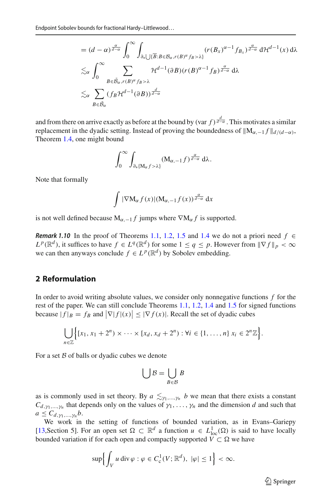$$
= (d - \alpha)^{\frac{\alpha}{d - \alpha}} \int_0^{\infty} \int_{\partial_{\ast} \bigcup{\{\overline{B}: B \in \mathcal{B}_{\alpha}, r(B)^{\alpha} f_B > \lambda\}}}} (r(B_x)^{\alpha - 1} f_{B_x})^{\frac{\alpha}{d - \alpha}} d\mathcal{H}^{d - 1}(x) d\lambda
$$
  

$$
\lesssim_{\alpha} \int_0^{\infty} \sum_{B \in \tilde{\mathcal{B}}_{\alpha}, r(B)^{\alpha} f_B > \lambda} \mathcal{H}^{d - 1}(\partial B)(r(B)^{\alpha - 1} f_B)^{\frac{\alpha}{d - \alpha}} d\lambda
$$
  

$$
\lesssim_{\alpha} \sum_{B \in \tilde{\mathcal{B}}_{\alpha}} (f_B \mathcal{H}^{d - 1}(\partial B))^{\frac{d}{d - \alpha}}
$$

and from there on arrive exactly as before at the bound by (var  $f$ )  $\frac{d}{d-a}$ . This motivates a similar replacement in the dyadic setting. Instead of proving the boundedness of  $\|M_{\alpha,-1} f\|_{d/(d-\alpha)}$ , Theorem [1.4,](#page-3-1) one might bound

$$
\int_0^\infty \int_{\partial_* \{M_\alpha f > \lambda\}} (M_{\alpha, -1} f)^{\frac{\alpha}{d-\alpha}} d\lambda.
$$

Note that formally

$$
\int |\nabla \mathbf{M}_{\alpha} f(x)| (\mathbf{M}_{\alpha,-1} f(x))^{\frac{\alpha}{d-\alpha}} dx
$$

is not well defined because  $M_{\alpha,-1} f$  jumps where  $\nabla M_{\alpha} f$  is supported.

*Remark 1.10* In the proof of Theorems [1.1,](#page-2-0) [1.2,](#page-3-0) [1.5](#page-4-0) and [1.4](#page-3-1) we do not a priori need  $f \in$  $L^p(\mathbb{R}^d)$ , it suffices to have  $f \in L^q(\mathbb{R}^d)$  for some  $1 \le q \le p$ . However from  $\|\nabla f\|_p < \infty$ we can then anyways conclude  $f \in L^p(\mathbb{R}^d)$  by Sobolev embedding.

## **2 Reformulation**

In order to avoid writing absolute values, we consider only nonnegative functions *f* for the rest of the paper. We can still conclude Theorems [1.1,](#page-2-0) [1.2,](#page-3-0) [1.4](#page-3-1) and [1.5](#page-4-0) for signed functions because  $|f|_B = f_B$  and  $|\nabla |f|(x)| \le |\nabla f(x)|$ . Recall the set of dyadic cubes

$$
\bigcup_{n\in\mathbb{Z}}\Big\{[x_1,x_1+2^n)\times\cdots\times[x_d,x_d+2^n):\forall i\in\{1,\ldots,n\}\ x_i\in2^n\mathbb{Z}\Big\}.
$$

For a set *B* of balls or dyadic cubes we denote

$$
\bigcup \mathcal{B} = \bigcup_{B \in \mathcal{B}} B
$$

as is commonly used in set theory. By  $a \leq_{\gamma_1,\dots,\gamma_n} b$  we mean that there exists a constant  $C_{d, \gamma_1, \dots, \gamma_n}$  that depends only on the values of  $\gamma_1, \dots, \gamma_n$  and the dimension *d* and such that  $a \leq C_{d,\gamma_1,\dots,\gamma_n}b.$ 

We work in the setting of functions of bounded variation, as in Evans–Gariepy [\[13,](#page-19-12)Section 5]. For an open set  $\Omega \subset \mathbb{R}^d$  a function  $u \in L^1_{loc}(\Omega)$  is said to have locally bounded variation if for each open and compactly supported  $\tilde{V} \subset \Omega$  we have

$$
\sup \Bigl\{ \int_V u \, \text{div} \, \varphi : \varphi \in C^1_{\text{c}}(V; \mathbb{R}^d), \ |\varphi| \le 1 \Bigr\} < \infty.
$$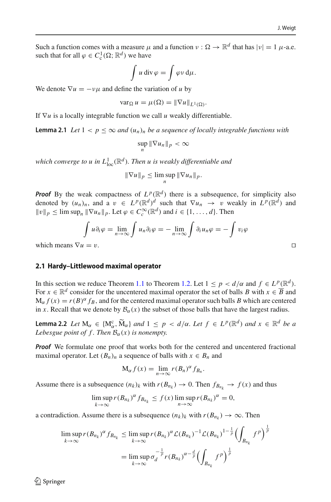Such a function comes with a measure  $\mu$  and a function  $\nu : \Omega \to \mathbb{R}^d$  that has  $|\nu| = 1$   $\mu$ -a.e. such that for all  $\varphi \in C^1_c(\Omega; \mathbb{R}^d)$  we have

$$
\int u \operatorname{div} \varphi = \int \varphi v \, \mathrm{d}\mu.
$$

We denote  $\nabla u = -v\mu$  and define the variation of *u* by

$$
\operatorname{var}_{\Omega} u = \mu(\Omega) = \|\nabla u\|_{L^1(\Omega)}.
$$

<span id="page-7-2"></span>If ∇*u* is a locally integrable function we call *u* weakly differentiable.

**Lemma 2.1** *Let*  $1 < p \le \infty$  *and*  $(u_n)_n$  *be a sequence of locally integrable functions with* 

$$
\sup_n \|\nabla u_n\|_p < \infty
$$

which converge to  $u$  in  $L^1_{\mathrm{loc}}(\mathbb{R}^d)$ . Then  $u$  is weakly differentiable and

$$
\|\nabla u\|_p \leq \limsup_n \|\nabla u_n\|_p.
$$

*Proof* By the weak compactness of  $L^p(\mathbb{R}^d)$  there is a subsequence, for simplicity also denoted by  $(u_n)_n$ , and a  $v \in L^p(\mathbb{R}^d)^d$  such that  $\nabla u_n \to v$  weakly in  $L^p(\mathbb{R}^d)$  and  $||v||_p \le \limsup_n ||\nabla u_n||_p$ . Let  $\varphi \in C_c^{\infty}(\mathbb{R}^d)$  and  $i \in \{1, ..., d\}$ . Then

$$
\int u \partial_i \varphi = \lim_{n \to \infty} \int u_n \partial_i \varphi = - \lim_{n \to \infty} \int \partial_i u_n \varphi = - \int v_i \varphi
$$

which means  $\nabla u = v$ .

#### <span id="page-7-0"></span>**2.1 Hardy–Littlewood maximal operator**

In this section we reduce Theorem [1.1](#page-2-0) to Theorem [1.2.](#page-3-0) Let  $1 \le p < d/\alpha$  and  $f \in L^p(\mathbb{R}^d)$ . For  $x \in \mathbb{R}^d$  consider for the uncentered maximal operator the set of balls *B* with  $x \in \overline{B}$  and  $M_{\alpha} f(x) = r(B)^{\alpha} f_B$ , and for the centered maximal operator such balls *B* which are centered in *x*. Recall that we denote by  $B_\alpha(x)$  the subset of those balls that have the largest radius.

<span id="page-7-1"></span>**Lemma 2.2** *Let*  $M_{\alpha} \in \{M_{\alpha}^c, \widetilde{M}_{\alpha}\}$  *and*  $1 \leq p < d/\alpha$ *. Let*  $f \in L^p(\mathbb{R}^d)$  *and*  $x \in \mathbb{R}^d$  *be a*<br>*Lehorene point of f. Than P. (a) is non-number Lebesgue point of f. Then*  $B_\alpha(x)$  *is nonempty.* 

*Proof* We formulate one proof that works both for the centered and uncentered fractional maximal operator. Let  $(B_n)_n$  a sequence of balls with  $x \in B_n$  and

$$
M_{\alpha} f(x) = \lim_{n \to \infty} r(B_n)^{\alpha} f_{B_n}.
$$

Assume there is a subsequence  $(n_k)_k$  with  $r(B_{n_k}) \to 0$ . Then  $f_{B_{n_k}} \to f(x)$  and thus

$$
\limsup_{k\to\infty} r(B_{n_k})^{\alpha} f_{B_{n_k}} \leq f(x) \limsup_{n\to\infty} r(B_{n_k})^{\alpha} = 0,
$$

a contradiction. Assume there is a subsequence  $(n_k)_k$  with  $r(B_{n_k}) \to \infty$ . Then

$$
\limsup_{k \to \infty} r(B_{n_k})^{\alpha} f_{B_{n_k}} \leq \limsup_{k \to \infty} r(B_{n_k})^{\alpha} \mathcal{L}(B_{n_k})^{-1} \mathcal{L}(B_{n_k})^{1-\frac{1}{p}} \left( \int_{B_{n_k}} f^p \right)^{\frac{1}{p}}
$$

$$
= \limsup_{k \to \infty} \sigma_d^{-\frac{1}{p}} r(B_{n_k})^{\alpha - \frac{d}{p}} \left( \int_{B_{n_k}} f^p \right)^{\frac{1}{p}}
$$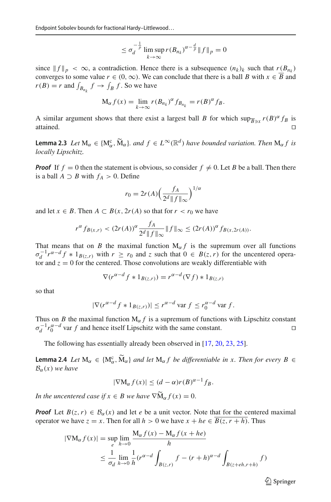$$
\leq \sigma_d^{-\frac{1}{p}} \limsup_{k \to \infty} r(B_{n_k})^{\alpha - \frac{d}{p}} \|f\|_p = 0
$$

since  $||f||_p < \infty$ , a contradiction. Hence there is a subsequence  $(n_k)_k$  such that  $r(B_{n_k})$ converges to some value  $r \in (0, \infty)$ . We can conclude that there is a ball *B* with  $x \in \overline{B}$  and  $r(B) = r$  and  $\int_{B_{n_k}} f \to \int_B f$ . So we have

$$
M_{\alpha} f(x) = \lim_{k \to \infty} r(B_{n_k})^{\alpha} f_{B_{n_k}} = r(B)^{\alpha} f_B.
$$

A similar argument shows that there exist a largest ball *B* for which  $\sup_{\overline{B}\ni x} r(B)^{\alpha} f_B$  is attained. attained.

<span id="page-8-1"></span>**Lemma 2.3** *Let*  $M_{\alpha} \in \{M_{\alpha}^{c}, \widetilde{M}_{\alpha}\}$ *. and*  $f \in L^{\infty}(\mathbb{R}^{d})$  *have bounded variation. Then*  $M_{\alpha} f$  *is locally Lineabite locally Lipschitz.*

*Proof* If  $f = 0$  then the statement is obvious, so consider  $f \neq 0$ . Let *B* be a ball. Then there is a ball  $A \supset B$  with  $f_A > 0$ . Define

$$
r_0 = 2r(A) \left(\frac{f_A}{2^d \|f\|_{\infty}}\right)^{1/\alpha}
$$

and let  $x \in B$ . Then  $A \subset B(x, 2r(A))$  so that for  $r < r_0$  we have

$$
r^{\alpha} f_{B(x,r)} < (2r(A))^{\alpha} \frac{f_A}{2^d \|f\|_{\infty}} \|f\|_{\infty} \le (2r(A))^{\alpha} f_{B(x,2r(A))}.
$$

That means that on *B* the maximal function  $M_{\alpha} f$  is the supremum over all functions  $\sigma_d^{-1} r^{\alpha-d} f * 1_{B(z,r)}$  with  $r \ge r_0$  and  $z$  such that  $0 \in B(z,r)$  for the uncentered operator and  $z = 0$  for the centered. Those convolutions are weakly differentiable with

$$
\nabla(r^{\alpha-d}f * 1_{B(z,r)}) = r^{\alpha-d}(\nabla f) * 1_{B(z,r)}
$$

so that

$$
|\nabla(r^{\alpha-d}f * 1_{B(z,r)})| \le r^{\alpha-d} \text{ var } f \le r_0^{\alpha-d} \text{ var } f.
$$

Thus on *B* the maximal function  $M_{\alpha} f$  is a supremum of functions with Lipschitz constant  $\sigma_d^{-1} r_0^{\alpha-d}$  var *f* and hence itself Lipschitz with the same constant.

<span id="page-8-0"></span>The following has essentially already been observed in [\[17](#page-20-15), [20](#page-20-12), [23](#page-20-7), [25\]](#page-20-13).

**Lemma 2.4** *Let*  $M_{\alpha} \in \{M_{\alpha}^c, \widetilde{M}_{\alpha}\}\$  *and let*  $M_{\alpha}f$  *be differentiable in x. Then for every B*  $\in$   $R$  (a) we have  $B<sub>α</sub>(x)$  *we have* 

$$
|\nabla M_{\alpha} f(x)| \leq (d - \alpha) r(B)^{\alpha - 1} f_B.
$$

*In the uncentered case if*  $x \in B$  *we have*  $\nabla \widetilde{M}_{\alpha} f(x) = 0$ .

*Proof* Let  $B(z, r) \in B<sub>\alpha</sub>(x)$  and let *e* be a unit vector. Note that for the centered maximal operator we have  $z = x$ . Then for all  $h > 0$  we have  $x + he \in B(z, r + h)$ . Thus

$$
|\nabla M_{\alpha} f(x)| = \sup_{e} \lim_{h \to 0} \frac{M_{\alpha} f(x) - M_{\alpha} f(x + he)}{h}
$$
  

$$
\leq \frac{1}{\sigma_d} \lim_{h \to 0} \frac{1}{h} (r^{\alpha - d} \int_{B(z,r)} f - (r+h)^{\alpha - d} \int_{B(z+eh,r+h)} f)
$$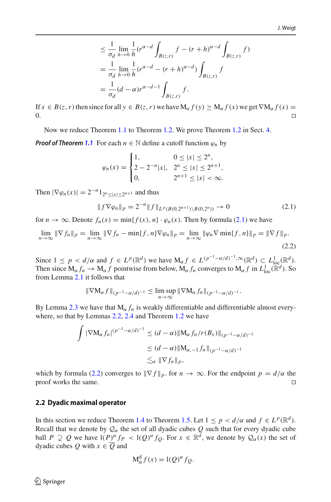$$
\leq \frac{1}{\sigma_d} \lim_{h \to 0} \frac{1}{h} (r^{\alpha - d} \int_{B(z,r)} f - (r+h)^{\alpha - d} \int_{B(z,r)} f)
$$
  
= 
$$
\frac{1}{\sigma_d} \lim_{h \to 0} \frac{1}{h} (r^{\alpha - d} - (r+h)^{\alpha - d}) \int_{B(z,r)} f
$$
  
= 
$$
\frac{1}{\sigma_d} (d - \alpha) r^{\alpha - d - 1} \int_{B(z,r)} f.
$$

If *x* ∈ *B*(*z*, *r*) then since for all *y* ∈ *B*(*z*, *r*) we have M<sub>α</sub> *f*(*y*) ≥ M<sub>α</sub> *f*(*x*) we get ∇M<sub>α</sub> *f*(*x*) = 0.  $\Box$ 

Now we reduce Theorem [1.1](#page-2-0) to Theorem [1.2.](#page-3-0) We prove Theorem [1.2](#page-3-0) in Sect. [4.](#page-16-0)

*Proof of Theorem [1.1](#page-2-0)* For each  $n \in \mathbb{N}$  define a cutoff function  $\varphi_n$  by

$$
\varphi_n(x) = \begin{cases} 1, & 0 \le |x| \le 2^n, \\ 2 - 2^{-n} |x|, & 2^n \le |x| \le 2^{n+1}, \\ 0, & 2^{n+1} \le |x| < \infty. \end{cases}
$$

Then  $|\nabla \varphi_n(x)| = 2^{-n} 1_{2^n \le |x| \le 2^{n+1}}$  and thus

<span id="page-9-1"></span>
$$
||f\nabla\varphi_n||_p = 2^{-n}||f||_{L^p(B(0,2^{n+1})\setminus B(0,2^n))} \to 0
$$
\n(2.1)

for  $n \to \infty$ . Denote  $f_n(x) = \min\{f(x), n\} \cdot \varphi_n(x)$ . Then by formula [\(2.1\)](#page-9-1) we have

<span id="page-9-2"></span>
$$
\lim_{n \to \infty} \|\nabla f_n\|_p = \lim_{n \to \infty} \|\nabla f_n - \min\{f, n\} \nabla \varphi_n\|_p = \lim_{n \to \infty} \|\varphi_n \nabla \min\{f, n\}\|_p = \|\nabla f\|_p.
$$
\n(2.2)

Since  $1 \leq p < d/\alpha$  and  $f \in L^p(\mathbb{R}^d)$  we have  $M_\alpha f \in L^{(p^{-1}-\alpha/d)^{-1},\infty}(\mathbb{R}^d) \subset L^1_{loc}(\mathbb{R}^d)$ . Then since  $M_{\alpha} f_n \to M_{\alpha} f$  pointwise from below,  $M_{\alpha} f_n$  converges to  $M_{\alpha} f$  in  $L^1_{loc}(\mathbb{R}^d)$ . So from Lemma [2.1](#page-7-2) it follows that

$$
\|\nabla \mathbf{M}_{\alpha} f\|_{(p^{-1}-\alpha/d)^{-1}} \leq \limsup_{n \to \infty} \|\nabla \mathbf{M}_{\alpha} f_n\|_{(p^{-1}-\alpha/d)^{-1}}.
$$

By Lemma [2.3](#page-8-1) we have that  $M_\alpha f_n$  is weakly differentiable and differentiable almost everywhere, so that by Lemmas [2.2,](#page-7-1) [2.4](#page-8-0) and Theorem [1.2](#page-3-0) we have

$$
\int |\nabla M_{\alpha} f_n|^{(p^{-1}-\alpha/d)^{-1}} \le (d-\alpha) \|M_{\alpha} f_n/r(B_x)\|_{(p^{-1}-\alpha/d)^{-1}}
$$
  
\n
$$
\le (d-\alpha) \|M_{\alpha,-1} f_n\|_{(p^{-1}-\alpha/d)^{-1}}
$$
  
\n
$$
\lesssim_{\alpha} \|\nabla f_n\|_p,
$$

which by formula [\(2.2\)](#page-9-2) converges to  $\|\nabla f\|_p$ , for  $n \to \infty$ . For the endpoint  $p = d/\alpha$  the proof works the same proof works the same.

#### <span id="page-9-0"></span>**2.2 Dyadic maximal operator**

In this section we reduce Theorem [1.4](#page-3-1) to Theorem [1.5.](#page-4-0) Let  $1 \leq p < d/\alpha$  and  $f \in L^p(\mathbb{R}^d)$ . Recall that we denote by  $\mathcal{Q}_{\alpha}$  the set of all dyadic cubes  $Q$  such that for every dyadic cube ball  $P \supsetneq Q$  we have  $I(P)^{\alpha} f_P < I(Q)^{\alpha} f_Q$ . For  $x \in \mathbb{R}^d$ , we denote by  $Q_{\alpha}(x)$  the set of dyadic cubes *Q* with  $x \in \overline{Q}$  and

$$
M_{\alpha}^{d} f(x) = l(Q)^{\alpha} f_{Q}.
$$

<span id="page-9-3"></span> $\mathcal{L}$  Springer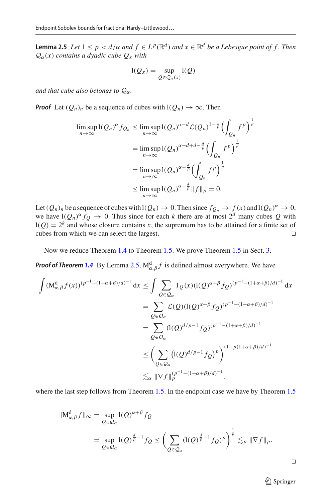**Lemma 2.5** *Let*  $1 \leq p < d/\alpha$  *and*  $f \in L^p(\mathbb{R}^d)$  *and*  $x \in \mathbb{R}^d$  *be a Lebesgue point of* f. *Then*  $Q_{\alpha}(x)$  *contains a dyadic cube*  $Q_{x}$  *with* 

$$
l(Q_x) = \sup_{Q \in \mathcal{Q}_{\alpha}(x)} l(Q)
$$

*and that cube also belongs to*  $Q_{\alpha}$ *.* 

*Proof* Let  $(Q_n)_n$  be a sequence of cubes with  $I(Q_n) \to \infty$ . Then

$$
\limsup_{n \to \infty} I(Q_n)^{\alpha} f_{Q_n} \le \limsup_{n \to \infty} I(Q_n)^{\alpha - d} \mathcal{L}(Q_n)^{1 - \frac{1}{p}} \left( \int_{Q_n} f^p \right)^{\frac{1}{p}}
$$
  
\n
$$
= \limsup_{n \to \infty} I(Q_n)^{\alpha - d + d - \frac{d}{p}} \left( \int_{Q_n} f^p \right)^{\frac{1}{p}}
$$
  
\n
$$
= \limsup_{n \to \infty} I(Q_n)^{\alpha - \frac{d}{p}} \left( \int_{Q_n} f^p \right)^{\frac{1}{p}}
$$
  
\n
$$
\le \limsup_{n \to \infty} I(Q_n)^{\alpha - \frac{d}{p}} \|f\|_p = 0.
$$

Let  $(Q_n)_n$  be a sequence of cubes with  $I(Q_n) \to 0$ . Then since  $f_{Q_n} \to f(x)$  and  $I(Q_n)^\alpha \to 0$ , we have  $I(Q_n)^{\alpha} f_Q \to 0$ . Thus since for each *k* there are at most  $2^d$  many cubes Q with  $l(Q) = 2<sup>k</sup>$  and whose closure contains *x*, the supremum has to be attained for a finite set of cubes from which we can select the largest. cubes from which we can select the largest.

Now we reduce Theorem [1.4](#page-3-1) to Theorem [1.5.](#page-4-0) We prove Theorem [1.5](#page-4-0) in Sect. [3.](#page-11-0)

*Proof of Theorem [1.4](#page-3-1)* By Lemma [2.5,](#page-9-3)  $M_{\alpha,\beta}^{d} f$  is defined almost everywhere. We have

$$
\int (M_{\alpha,\beta}^{d} f(x))^{(p^{-1} - (1 + \alpha + \beta)/d)^{-1}} dx \leq \int \sum_{Q \in \mathcal{Q}_{\alpha}} 1_Q(x) (I(Q)^{\alpha + \beta} f_Q)^{(p^{-1} - (1 + \alpha + \beta)/d)^{-1}} dx
$$
  
\n
$$
= \sum_{Q \in \mathcal{Q}_{\alpha}} \mathcal{L}(Q) (I(Q)^{\alpha + \beta} f_Q)^{(p^{-1} - (1 + \alpha + \beta)/d)^{-1}}
$$
  
\n
$$
= \sum_{Q \in \mathcal{Q}_{\alpha}} (I(Q)^{d/p - 1} f_Q)^{(p^{-1} - (1 + \alpha + \beta)/d)^{-1}}
$$
  
\n
$$
\leq \left( \sum_{Q \in \mathcal{Q}_{\alpha}} (I(Q)^{d/p - 1} f_Q)^p \right)^{(1 - p(1 + \alpha + \beta)/d)^{-1}}
$$
  
\n
$$
\lesssim_{\alpha} \|\nabla f\|_{p}^{(p^{-1} - (1 + \alpha + \beta)/d)^{-1}},
$$

where the last step follows from Theorem [1.5.](#page-4-0) In the endpoint case we have by Theorem [1.5](#page-4-0)

$$
\begin{aligned} \|\mathbf{M}^{\mathrm{d}}_{\alpha,\beta}f\|_{\infty} &= \sup_{Q \in \mathcal{Q}_{\alpha}} \mathbf{I}(Q)^{\alpha+\beta} f_Q \\ &= \sup_{Q \in \mathcal{Q}_{\alpha}} \mathbf{I}(Q)^{\frac{d}{p}-1} f_Q \le \left(\sum_{Q \in \mathcal{Q}_{\alpha}} (\mathbf{I}(Q)^{\frac{d}{p}-1} f_Q)^p\right)^{\frac{1}{p}} \lesssim_p \|\nabla f\|_p. \end{aligned}
$$

### <sup>2</sup> Springer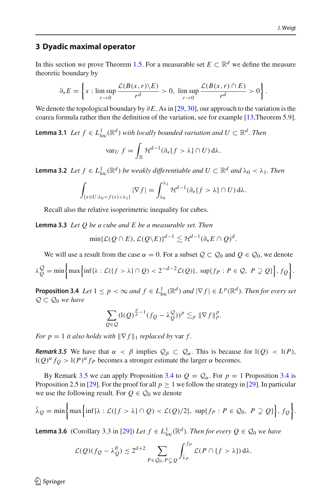#### <span id="page-11-0"></span>**3 Dyadic maximal operator**

In this section we prove Theorem [1.5.](#page-4-0) For a measurable set  $E \subset \mathbb{R}^d$  we define the measure theoretic boundary by

$$
\partial_* E = \left\{ x : \limsup_{r \to 0} \frac{\mathcal{L}(B(x,r) \setminus E)}{r^d} > 0, \ \limsup_{r \to 0} \frac{\mathcal{L}(B(x,r) \cap E)}{r^d} > 0 \right\}.
$$

<span id="page-11-6"></span>We denote the topological boundary by ∂*E*. As in [\[29,](#page-20-11) [30](#page-20-5)], our approach to the variation is the coarea formula rather then the definition of the variation, see for example [\[13,](#page-19-12)Theorem 5.9].

**Lemma 3.1** *Let*  $f \in L^1_{loc}(\mathbb{R}^d)$  *with locally bounded variation and*  $U \subset \mathbb{R}^d$ *. Then* 

$$
\text{var}_U f = \int_{\mathbb{R}} \mathcal{H}^{d-1}(\partial_* \{f > \lambda\} \cap U) \, \mathrm{d}\lambda.
$$

<span id="page-11-4"></span>**Lemma 3.2** *Let*  $f \in L^1_{loc}(\mathbb{R}^d)$  *be weakly differentiable and*  $U \subset \mathbb{R}^d$  *and*  $\lambda_0 < \lambda_1$ *. Then* 

$$
\int_{\{x\in U:\lambda_0
$$

<span id="page-11-3"></span>Recall also the relative isoperimetric inequality for cubes.

**Lemma 3.3** *Let Q be a cube and E be a measurable set. Then*

$$
\min\{\mathcal{L}(Q \cap E), \mathcal{L}(Q \backslash E)\}^{d-1} \lesssim \mathcal{H}^{d-1}(\partial_* E \cap Q)^d.
$$

We will use a result from the case  $\alpha = 0$ . For a subset  $\mathcal{Q} \subset \mathcal{Q}_0$  and  $\mathcal{Q} \in \mathcal{Q}_0$ , we denote

$$
\lambda_Q^Q = \min\bigg\{\max\bigg\{\inf\{\lambda : \mathcal{L}(\{f > \lambda\} \cap Q) < 2^{-d-2}\mathcal{L}(Q)\}, \sup\{fp : P \in \mathcal{Q}, P \supsetneq Q\}\bigg\}, f_Q\bigg\}.
$$

<span id="page-11-2"></span>**Proposition 3.4** *Let*  $1 \leq p < \infty$  *and*  $f \in L^1_{loc}(\mathbb{R}^d)$  *and*  $|\nabla f| \in L^p(\mathbb{R}^d)$ *. Then for every set Q* ⊂ *Q*<sup>0</sup> *we have*

$$
\sum_{Q\in\mathcal{Q}}(\mathbf{l}(Q)^{\frac{d}{p}-1}(f_{Q}-\lambda_{Q}^{\mathcal{Q}}))^{p}\lesssim_{p} \|\nabla f\|_{p}^{p}.
$$

*For*  $p = 1$  *it also holds with*  $\|\nabla f\|_1$  *replaced by* var *f*.

<span id="page-11-1"></span>*Remark 3.5* We have that  $\alpha < \beta$  implies  $\mathcal{Q}_{\beta} \subset \mathcal{Q}_{\alpha}$ . This is because for  $l(Q) < l(P)$ ,  $l(Q)^{\alpha} f_Q > l(P)^{\alpha} f_P$  becomes a stronger estimate the larger  $\alpha$  becomes.

By Remark [3.5](#page-11-1) we can apply Proposition [3.4](#page-11-2) to  $Q = Q_\alpha$ . For  $p = 1$  Proposition 3.4 is Proposition 2.5 in [\[29\]](#page-20-11). For the proof for all  $p \ge 1$  we follow the strategy in [29]. In particular we use the following result. For  $Q \in \mathcal{Q}_0$  we denote

$$
\bar{\lambda}_Q = \min\bigg\{\max\bigg\{\inf\{\lambda : \mathcal{L}(\{f > \lambda\} \cap Q) < \mathcal{L}(Q)/2\}, \sup\{f_P : P \in Q_0, P \supsetneq Q\}\bigg\}, f_Q\bigg\}.
$$

<span id="page-11-5"></span>**Lemma 3.6** (Corollary 3.3 in [\[29](#page-20-11)]) *Let*  $f \in L^1_{loc}(\mathbb{R}^d)$ *. Then for every*  $Q \in \mathcal{Q}_0$  *we have* 

$$
\mathcal{L}(Q)(f_Q - \lambda_Q^{\emptyset}) \le 2^{d+2} \sum_{P \in \mathcal{Q}_0, P \subsetneq Q} \int_{\bar{\lambda}_P}^{f_P} \mathcal{L}(P \cap \{f > \lambda\}) d\lambda.
$$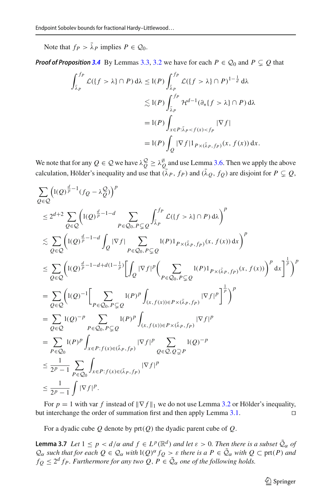Note that  $f_P > \bar{\lambda}_P$  implies  $P \in \mathcal{Q}_0$ .

*Proof of Proposition* [3.4](#page-11-2) By Lemmas [3.3,](#page-11-3) [3.2](#page-11-4) we have for each  $P \in \mathcal{Q}_0$  and  $P \subseteq Q$  that

$$
\int_{\bar{\lambda}_P}^{fp} \mathcal{L}(\lbrace f > \lambda \rbrace \cap P) d\lambda \leq l(P) \int_{\bar{\lambda}_P}^{fp} \mathcal{L}(\lbrace f > \lambda \rbrace \cap P)^{1-\frac{1}{d}} d\lambda
$$
  

$$
\lesssim l(P) \int_{\bar{\lambda}_P}^{fp} \mathcal{H}^{d-1}(\partial_* \lbrace f > \lambda \rbrace \cap P) d\lambda
$$
  

$$
= l(P) \int_{x \in P: \bar{\lambda}_P < f(x) < f_P} |\nabla f|
$$
  

$$
= l(P) \int_Q |\nabla f| \mathbf{1}_{P \times (\bar{\lambda}_P, f_P)}(x, f(x)) dx.
$$

We note that for any  $Q \in \mathcal{Q}$  we have  $\lambda_Q^{\mathcal{Q}} \geq \lambda_Q^{\mathcal{Y}}$  and use Lemma [3.6.](#page-11-5) Then we apply the above calculation, Hölder's inequality and use that  $(\bar{\lambda}_P, f_P)$  and  $(\bar{\lambda}_Q, f_Q)$  are disjoint for  $P \subsetneq Q$ ,

$$
\sum_{Q \in Q} \left( I(Q)^{\frac{d}{p}-1} (f_Q - \lambda_Q^Q) \right)^p
$$
\n
$$
\leq 2^{d+2} \sum_{Q \in Q} \left( I(Q)^{\frac{d}{p}-1-d} \sum_{P \in Q_0, P \subsetneq Q} \int_{\bar{\lambda}_P}^{f_P} \mathcal{L}(\{f > \lambda\} \cap P) d\lambda \right)^p
$$
\n
$$
\leq \sum_{Q \in Q} \left( I(Q)^{\frac{d}{p}-1-d} \int_Q |\nabla f| \sum_{P \in Q_0, P \subsetneq Q} I(P) 1_{P \times (\bar{\lambda}_P, f_P)}(x, f(x)) dx \right)^p
$$
\n
$$
\leq \sum_{Q \in Q} \left( I(Q)^{\frac{d}{p}-1-d+d(1-\frac{1}{p})} \Big[ \int_Q |\nabla f|^p \Big( \sum_{P \in Q_0, P \subsetneq Q} I(P) 1_{P \times (\bar{\lambda}_P, f_P)}(x, f(x)) \Big)^p dx \Big]^\frac{1}{p} \right)^p
$$
\n
$$
= \sum_{Q \in Q} \left( I(Q)^{-1} \Big[ \sum_{P \in Q_0, P \subsetneq Q} I(P)^p \int_{(x, f(x)) \in P \times (\bar{\lambda}_P, f_P)} |\nabla f|^p \Big]^\frac{1}{p} \right)^p
$$
\n
$$
= \sum_{Q \in Q} I(Q)^{-p} \sum_{P \in Q_0, P \subsetneq Q} I(P)^p \int_{(x, f(x)) \in P \times (\bar{\lambda}_P, f_P)} |\nabla f|^p
$$
\n
$$
= \sum_{P \in Q_0} I(P)^p \int_{x \in P : f(x) \in (\bar{\lambda}_P, f_P)} |\nabla f|^p \sum_{Q \in Q, Q \supsetneq P} I(Q)^{-p}
$$
\n
$$
\leq \frac{1}{2^p - 1} \sum_{P \in Q_0} \int_{x \in P : f(x) \in (\bar{\lambda}_P, f_P)} |\nabla f|^p
$$
\n
$$
\leq \frac{1}{2^p - 1} \int |\nabla f|^p.
$$

For  $p = 1$  with var *f* instead of  $\|\nabla f\|_1$  we do not use Lemma [3.2](#page-11-4) or Hölder's inequality, interchange the order of summation first and then apply Lemma 3.1. but interchange the order of summation first and then apply Lemma [3.1.](#page-11-6)

<span id="page-12-0"></span>For a dyadic cube *Q* denote by prt(*Q*) the dyadic parent cube of *Q*.

**Lemma 3.7** *Let*  $1 \leq p < d/\alpha$  *and*  $f \in L^p(\mathbb{R}^d)$  *and let*  $\varepsilon > 0$ *. Then there is a subset*  $\tilde{Q}_\alpha$  *of Q*<sub>α</sub> *such that for each*  $Q ∈ Q<sub>α</sub>$  *with*  $I(Q)<sup>α</sup> f<sub>Q</sub> > ε$  *there is a*  $P ∈ \tilde{Q}<sub>α</sub>$  *with*  $Q ⊂ pt(P)$  *and*  $f_Q \leq 2^d f_P$ . Furthermore for any two Q,  $P \in \tilde{Q}_\alpha$  one of the following holds.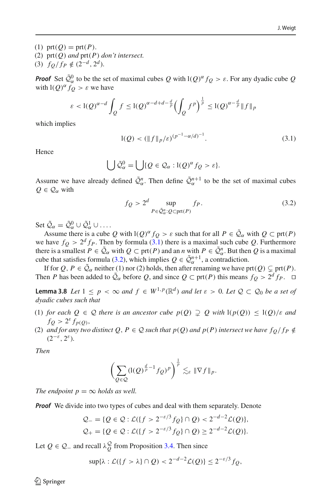(1) prt( $Q$ ) = prt( $P$ ). (2) prt(*Q*) *and* prt(*P*) *don't intersect.* (3)  $f_Q/f_P \notin (2^{-d}, 2^d)$ .

*Proof* Set  $\tilde{Q}_{\alpha}^{0}$  to be the set of maximal cubes *Q* with  $I(Q)^{\alpha} f_Q > \varepsilon$ . For any dyadic cube *Q* with  $I(Q)^{\alpha} f_Q > \varepsilon$  we have

$$
\varepsilon < \left(1(Q)^{\alpha-d}\int_Q f \leq \left(1(Q)^{\alpha-d+d-\frac{d}{p}}\left(\int_Q f^p\right)^{\frac{1}{p}} \leq \left(1(Q)^{\alpha-\frac{d}{p}}\right)\|f\|_p
$$

which implies

<span id="page-13-0"></span>
$$
l(Q) < (\|f\|_p/\varepsilon)^{(p^{-1}-\alpha/d)^{-1}}.\tag{3.1}
$$

Hence

$$
\bigcup \tilde{\mathcal{Q}}_{\alpha}^{0} = \bigcup \{ Q \in \mathcal{Q}_{\alpha} : l(Q)^{\alpha} f_{Q} > \varepsilon \}.
$$

Assume we have already defined  $\tilde{Q}^n_\alpha$ . Then define  $\tilde{Q}^{n+1}_\alpha$  to be the set of maximal cubes  $Q \in \mathcal{Q}_{\alpha}$  with

<span id="page-13-1"></span>
$$
f_Q > 2^d \sup_{P \in \tilde{\mathcal{Q}}_a^n : Q \subset \text{prt}(P)} f_P.
$$
 (3.2)

Set  $\tilde{\mathcal{Q}}_{\alpha} = \tilde{\mathcal{Q}}_{\alpha}^0 \cup \tilde{\mathcal{Q}}_{\alpha}^1 \cup \dots$ 

Assume there is a cube *Q* with  $I(Q)^{\alpha} f_Q > \varepsilon$  such that for all  $P \in \tilde{Q}_\alpha$  with  $Q \subset \text{prt}(P)$ we have  $f_Q > 2^d f_P$ . Then by formula [\(3.1\)](#page-13-0) there is a maximal such cube Q. Furthermore there is a smallest  $P \in \tilde{Q}_\alpha$  with  $Q \subset \text{prt}(P)$  and an *n* with  $P \in \tilde{Q}_\alpha^n$ . But then  $Q$  is a maximal cube that satisfies formula [\(3.2\)](#page-13-1), which implies  $Q \in \tilde{\mathcal{Q}}_{\alpha}^{n+1}$ , a contradiction.

If for  $Q, P \in \tilde{Q}_\alpha$  neither (1) nor (2) holds, then after renaming we have prt( $Q$ )  $\subsetneq$  prt( $P$ ). Then *P* has been added to  $\tilde{Q}_\alpha$  before *Q*, and since  $Q \subset \text{prt}(P)$  this means  $f_Q > 2^d f_P$ .  $\Box$ 

<span id="page-13-2"></span>**Lemma 3.8** *Let*  $1 \leq p < \infty$  *and*  $f \in W^{1,p}(\mathbb{R}^d)$  *and let*  $\varepsilon > 0$ *. Let*  $\mathcal{Q} \subset \mathcal{Q}_0$  *be a set of dyadic cubes such that*

- (1) *for each*  $Q \in \mathcal{Q}$  *there is an ancestor cube*  $p(Q) \supsetneq Q$  *with*  $1(p(Q)) \leq 1(Q)/\varepsilon$  *and*  $f_Q > 2^{\varepsilon} f_{p(Q)},$
- (2) and for any two distinct Q,  $P \in \mathcal{Q}$  such that  $p(Q)$  and  $p(P)$  intersect we have  $f_Q/f_P \notin$  $(2^{-\varepsilon}, 2^{\varepsilon})$ .

*Then*

$$
\left(\sum_{Q\in\mathcal{Q}}(\mathrm{l}(Q)^{\frac{d}{p}-1}f_Q)^p\right)^{\frac{1}{p}}\lesssim_{\varepsilon}\|\nabla f\|_p.
$$

*The endpoint*  $p = \infty$  *holds as well.* 

*Proof* We divide into two types of cubes and deal with them separately. Denote

$$
Q_{-} = \{ Q \in \mathcal{Q} : \mathcal{L}(\{ f > 2^{-\varepsilon/3} f_Q \} \cap Q) < 2^{-d-2} \mathcal{L}(Q) \},
$$
  

$$
Q_{+} = \{ Q \in \mathcal{Q} : \mathcal{L}(\{ f > 2^{-\varepsilon/3} f_Q \} \cap Q) \ge 2^{-d-2} \mathcal{L}(Q) \}.
$$

Let  $Q \in \mathcal{Q}_-$  and recall  $\lambda_Q^{\mathcal{Q}}$  from Proposition [3.4.](#page-11-2) Then since

$$
\sup\{\lambda : \mathcal{L}(\{f > \lambda\} \cap Q) < 2^{-d-2}\mathcal{L}(Q)\} \le 2^{-\varepsilon/3}f_Q,
$$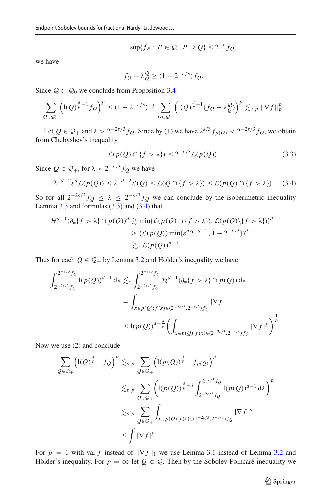$$
\sup\{f_P: P \in \mathcal{Q}, P \supsetneq Q\} \le 2^{-\varepsilon} f_Q
$$

we have

$$
f_Q - \lambda_Q^Q \ge (1 - 2^{-\varepsilon/3}) f_Q.
$$

Since  $\mathcal{Q} \subset \mathcal{Q}_0$  we conclude from Proposition [3.4](#page-11-2)

$$
\sum_{Q\in\mathcal{Q}_-} \left( l(Q)^{\frac{d}{p}-1} f_Q \right)^p \le (1-2^{-\varepsilon/3})^{-p} \sum_{Q\in\mathcal{Q}_-} \left( l(Q)^{\frac{d}{p}-1} (f_Q - \lambda_Q^{\mathcal{Q}}) \right)^p \lesssim_{\varepsilon,p} \|\nabla f\|_p^p.
$$

Let  $Q \in \mathcal{Q}_+$  and  $\lambda > 2^{-2\varepsilon/3} f_Q$ . Since by (1) we have  $2^{\varepsilon/3} f_{p(Q)} < 2^{-2\varepsilon/3} f_Q$ , we obtain from Chebyshev's inequality

<span id="page-14-0"></span>
$$
\mathcal{L}(p(Q) \cap \{f > \lambda\}) \le 2^{-\varepsilon/3} \mathcal{L}(p(Q)).\tag{3.3}
$$

Since  $Q \in \mathcal{Q}_+$ , for  $\lambda < 2^{-\varepsilon/3} f_Q$  we have

<span id="page-14-1"></span>
$$
2^{-d-2}\varepsilon^d \mathcal{L}(p(Q)) \le 2^{-d-2}\mathcal{L}(Q) \le \mathcal{L}(Q \cap \{f > \lambda\}) \le \mathcal{L}(p(Q) \cap \{f > \lambda\}).\tag{3.4}
$$

So for all  $2^{-2\varepsilon/3} f_Q \le \lambda \le 2^{-\varepsilon/3} f_Q$  we can conclude by the isoperimetric inequality Lemma  $3.3$  and formulas  $(3.3)$  and  $(3.4)$  that

$$
\mathcal{H}^{d-1}(\partial_*\{f > \lambda\} \cap p(Q))^d \gtrsim \min\{\mathcal{L}(p(Q) \cap \{f > \lambda\}), \mathcal{L}(p(Q)\setminus\{f > \lambda\})\}^{d-1}
$$
  
 
$$
\geq (\mathcal{L}(p(Q)) \min\{\varepsilon^d 2^{-d-2}, 1 - 2^{-\varepsilon/3}\})^{d-1}
$$
  
 
$$
\gtrsim_{\varepsilon} \mathcal{L}(p(Q))^{d-1}.
$$

Thus for each  $Q \in \mathcal{Q}_+$  by Lemma [3.2](#page-11-4) and Hölder's inequality we have

$$
\int_{2^{-2\varepsilon/3}}^{2^{-\varepsilon/3}f_Q} 1(p(Q))^{d-1} d\lambda \lesssim_{\varepsilon} \int_{2^{-2\varepsilon/3}f_Q}^{2^{-\varepsilon/3}f_Q} \mathcal{H}^{d-1}(\partial_*\{f > \lambda\} \cap p(Q)) d\lambda
$$
  
= 
$$
\int_{x \in p(Q): f(x) \in (2^{-2\varepsilon/3}, 2^{-\varepsilon/3})f_Q} |\nabla f|
$$
  

$$
\leq 1(p(Q))^{d-\frac{d}{p}} \left( \int_{x \in p(Q): f(x) \in (2^{-2\varepsilon/3}, 2^{-\varepsilon/3})f_Q} |\nabla f|^p \right)^{\frac{1}{p}}.
$$

Now we use (2) and conclude

$$
\sum_{Q \in \mathcal{Q}_+} \left( l(Q)^{\frac{d}{p}-1} f_Q \right)^p \lesssim_{\varepsilon, p} \sum_{Q \in \mathcal{Q}_+} \left( l(p(Q))^{\frac{d}{p}-1} f_{p(Q)} \right)^p
$$
  

$$
\lesssim_{\varepsilon, p} \sum_{Q \in \mathcal{Q}_+} \left( l(p(Q))^{\frac{d}{p}-d} \int_{2^{-2\varepsilon/3} f_Q}^{2^{-\varepsilon/3} f_Q} l(p(Q))^{d-1} d\lambda \right)^p
$$
  

$$
\lesssim_{\varepsilon, p} \sum_{Q \in \mathcal{Q}_+} \int_{x \in p(Q): f(x) \in (2^{-2\varepsilon/3}, 2^{-\varepsilon/3}) f_Q} |\nabla f|^p
$$
  

$$
\leq \int |\nabla f|^p.
$$

For  $p = 1$  with var f instead of  $\|\nabla f\|_1$  we use Lemma [3.1](#page-11-6) instead of Lemma [3.2](#page-11-4) and Hölder's inequality. For  $p = \infty$  let  $Q \in \mathcal{Q}$ . Then by the Sobolev-Poincaré inequality we

<sup>2</sup> Springer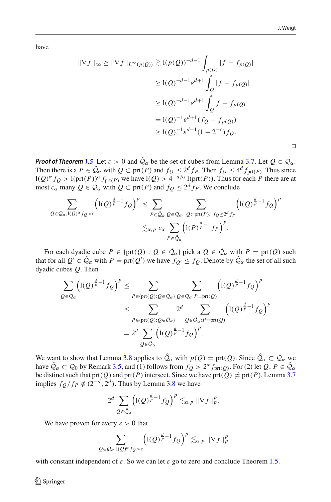$\Box$ 

have

$$
\|\nabla f\|_{\infty} \ge \|\nabla f\|_{L^{\infty}(p(Q))} \gtrsim 1(p(Q))^{-d-1} \int_{p(Q)} |f - f_{p(Q)}|
$$
  

$$
\ge 1(Q)^{-d-1} \varepsilon^{d+1} \int_{Q} |f - f_{p(Q)}|
$$
  

$$
\ge 1(Q)^{-d-1} \varepsilon^{d+1} \int_{Q} f - f_{p(Q)}
$$
  

$$
= 1(Q)^{-1} \varepsilon^{d+1} (f_{Q} - f_{p(Q)})
$$
  

$$
\ge 1(Q)^{-1} \varepsilon^{d+1} (1 - 2^{-\varepsilon}) f_{Q}.
$$

*Proof of Theorem* [1.5](#page-4-0) Let  $\varepsilon > 0$  and  $\tilde{Q}_{\alpha}$  be the set of cubes from Lemma [3.7.](#page-12-0) Let  $Q \in \mathcal{Q}_{\alpha}$ . Then there is a  $P \in \tilde{Q}_\alpha$  with  $Q \subset \text{prt}(P)$  and  $f_Q \leq 2^d f_P$ . Then  $f_Q \leq 4^d f_{\text{prt}(P)}$ . Thus since  $l(Q)^{\alpha} f_Q > l(\text{prt}(P))^{\alpha} f_{\text{prt}(P)}$  we have  $l(Q) > 4^{-d/\alpha} l(\text{prt}(P))$ . Thus for each *P* there are at most  $c_{\alpha}$  many  $Q \in \mathcal{Q}_{\alpha}$  with  $Q \subset \text{prt}(P)$  and  $f_Q \leq 2^d f_P$ . We conclude

$$
\sum_{Q \in \mathcal{Q}_{\alpha}, I(Q)^{\alpha} f_Q > \varepsilon} \left( I(Q)^{\frac{d}{p}-1} f_Q \right)^p \le \sum_{P \in \tilde{\mathcal{Q}}_{\alpha}} \sum_{Q \in \mathcal{Q}_{\alpha}, Q \subset \text{prt}(P), f_Q \le 2^d f_P} \left( I(Q)^{\frac{d}{p}-1} f_Q \right)^p
$$
  

$$
\lesssim_{\alpha, p} c_{\alpha} \sum_{P \in \tilde{\mathcal{Q}}_{\alpha}} \left( I(P)^{\frac{d}{p}-1} f_P \right)^p.
$$

For each dyadic cube  $P \in \{ \text{prt}(Q) : Q \in \tilde{Q}_\alpha \}$  pick a  $Q \in \tilde{Q}_\alpha$  with  $P = \text{prt}(Q)$  such that for all  $Q' \in \mathcal{Q}_\alpha$  with  $P = \text{prt}(Q')$  we have  $f_{Q'} \leq f_Q$ . Denote by  $\mathcal{Q}_\alpha$  the set of all such dyadic cubes *Q*. Then

$$
\sum_{Q \in \tilde{Q}_{\alpha}} \left( l(Q)^{\frac{d}{p}-1} f_Q \right)^p \leq \sum_{P \in \{ \text{prt}(Q) : Q \in \tilde{Q}_{\alpha} \}} \sum_{Q \in \tilde{Q}_{\alpha} : P = \text{prt}(Q)} \left( l(Q)^{\frac{d}{p}-1} f_Q \right)^p
$$
  

$$
\leq \sum_{P \in \{ \text{prt}(Q) : Q \in \tilde{Q}_{\alpha} \}} 2^d \sum_{Q \in \hat{Q}_{\alpha} : P = \text{prt}(Q)} \left( l(Q)^{\frac{d}{p}-1} f_Q \right)^p
$$
  

$$
= 2^d \sum_{Q \in \tilde{Q}_{\alpha}} \left( l(Q)^{\frac{d}{p}-1} f_Q \right)^p.
$$

We want to show that Lemma [3.8](#page-13-2) applies to  $\hat{Q}_{\alpha}$  with  $p(Q) = \text{prt}(Q)$ . Since  $\hat{Q}_{\alpha} \subset Q_{\alpha}$  we have  $\hat{Q}_{\alpha} \subset Q_0$  by Remark [3.5,](#page-11-1) and (1) follows from  $f_Q > 2^{\alpha} f_{\text{prt}}(Q)$ . For (2) let  $Q, P \in \hat{Q}_{\alpha}$ be distinct such that  $\text{prt}(Q)$  and  $\text{prt}(P)$  intersect. Since we have  $\text{prt}(Q) \neq \text{prt}(P)$ , Lemma [3.7](#page-12-0) implies  $f_Q/f_P \notin (2^{-d}, 2^d)$ . Thus by Lemma [3.8](#page-13-2) we have

$$
2^d \sum_{Q \in \hat{\mathcal{Q}}_{\alpha}} \left( \mathbb{I}(Q)^{\frac{d}{p}-1} f_Q \right)^p \lesssim_{\alpha,p} \|\nabla f\|_p^p.
$$

We have proven for every  $\varepsilon > 0$  that

$$
\sum_{Q \in \mathcal{Q}_{\alpha}, I(Q)^{\alpha} f_Q > \varepsilon} \left( I(Q)^{\frac{d}{p}-1} f_Q \right)^p \lesssim_{\alpha, p} \|\nabla f\|_p^p
$$

with constant independent of  $\varepsilon$ . So we can let  $\varepsilon$  go to zero and conclude Theorem [1.5.](#page-4-0)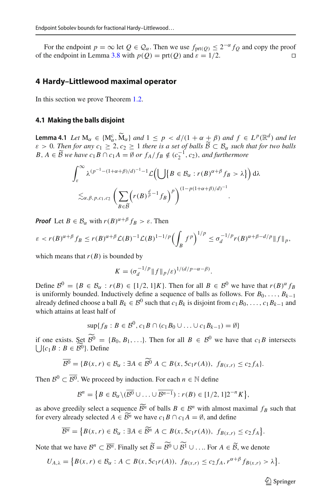For the endpoint  $p = \infty$  let  $Q \in \mathcal{Q}_\alpha$ . Then we use  $f_{\text{prt}(Q)} \leq 2^{-\alpha} f_Q$  and copy the proof the endpoint in Lemma 3.8 with  $p(Q) = \text{prt}(Q)$  and  $\varepsilon = 1/2$ . of the endpoint in Lemma [3.8](#page-13-2) with  $p(Q) = \text{prt}(Q)$  and  $\varepsilon = 1/2$ .

#### <span id="page-16-0"></span>**4 Hardy–Littlewood maximal operator**

In this section we prove Theorem [1.2.](#page-3-0)

#### **4.1 Making the balls disjoint**

<span id="page-16-1"></span>**Lemma 4.1** *Let*  $M_{\alpha} \in \{M_{\alpha}^c, \tilde{M}_{\alpha}\}$  *and*  $1 \leq p < d/(1 + \alpha + \beta)$  *and*  $f \in L^p(\mathbb{R}^d)$  *and let*<br> $\alpha > 0$ . Then for any  $\alpha > 2$ ,  $\alpha > 1$  then is a set of halls  $\tilde{p} \in \mathcal{R}$ , such that for two halls  $\varepsilon > 0$ . Then for any  $c_1 \geq 2$ ,  $c_2 \geq 1$  there is a set of balls  $B \subset B_\alpha$  such that for two balls<br> $B \triangleq 6$   $\widetilde{B}$  we have a  $B \cap aA = \emptyset$  or  $f \perp f \preceq f(a^{-1}, a)$ , and furthermore. *B*, *A* ∈  $\widetilde{B}$  *we have*  $c_1B \cap c_1A = \emptyset$  *or*  $f_A/f_B \notin (c_2^{-1}, c_2)$ , *and furthermore* 

$$
\int_{\varepsilon}^{\infty} \lambda^{(p^{-1} - (1 + \alpha + \beta)/d)^{-1} - 1} \mathcal{L}\Biggl(\bigcup \left\{B \in \mathcal{B}_{\alpha} : r(B)^{\alpha + \beta} f_B > \lambda\right\}\Biggr) d\lambda
$$
  

$$
\lesssim_{\alpha, \beta, p, c_1, c_2} \left(\sum_{B \in \widetilde{\mathcal{B}}} \left(r(B)^{\frac{d}{p} - 1} f_B\right)^p\right)^{(1 - p(1 + \alpha + \beta)/d)^{-1}}.
$$

*Proof* Let  $B \in \mathcal{B}_{\alpha}$  with  $r(B)^{\alpha+\beta} f_B > \varepsilon$ . Then

$$
\varepsilon < r(B)^{\alpha+\beta} f_B \le r(B)^{\alpha+\beta} \mathcal{L}(B)^{-1} \mathcal{L}(B)^{1-1/p} \Bigl(\int_B f^p\Bigr)^{1/p} \le \sigma_d^{-1/p} r(B)^{\alpha+\beta-d/p} \|f\|_p,
$$

which means that  $r(B)$  is bounded by

$$
K = (\sigma_d^{-1/p} ||f||_p/\varepsilon)^{1/(d/p-\alpha-\beta)}.
$$

Define  $B^0 = \{B \in \mathcal{B}_{\alpha} : r(B) \in [1/2, 1]K\}$ . Then for all  $B \in \mathcal{B}^0$  we have that  $r(B)^{\alpha} f_B$ is uniformly bounded. Inductively define a sequence of balls as follows. For  $B_0, \ldots, B_{k-1}$ already defined choose a ball  $B_k \in \mathcal{B}^0$  such that  $c_1 B_k$  is disjoint from  $c_1 B_0, \ldots, c_1 B_{k-1}$  and which attains at least half of

$$
\sup\{f_B: B \in \mathcal{B}^0, c_1B \cap (c_1B_0 \cup \ldots \cup c_1B_{k-1}) = \emptyset\}
$$

if one exists. Set  $B^0 = \{B_0, B_1, ...\}$ . Then for all  $B \in B^0$  we have that  $c_1B$  intersects  $\bigcup \{c_1B : B \in \mathcal{B}^0\}$ . Define

$$
\overline{\mathcal{B}^0} = \{ B(x, r) \in \mathcal{B}_{\alpha} : \exists A \in \widetilde{\mathcal{B}^0} \; A \subset B(x, 5c_1r(A)), \; f_{B(x, r)} \le c_2f_A \}.
$$

Then  $\mathcal{B}^0 \subset \overline{\mathcal{B}^0}$ . We proceed by induction. For each  $n \in \mathbb{N}$  define

$$
\mathcal{B}^n = \left\{ B \in \mathcal{B}_{\alpha} \backslash (\overline{\mathcal{B}^0} \cup \ldots \cup \overline{\mathcal{B}^{n-1}}) : r(B) \in [1/2, 1]2^{-n}K \right\},\
$$

as above greedily select a sequence  $\widetilde{B}^n$  of balls  $B \in \mathcal{B}^n$  with almost maximal  $f_B$  such that for every already selected  $A \in \mathcal{B}^n$  we have  $c_1 B \cap c_1 A = \emptyset$ , and define

$$
\overline{\mathcal{B}^n} = \left\{ B(x,r) \in \mathcal{B}_{\alpha} : \exists A \in \widetilde{\mathcal{B}^n} \ A \subset B(x, 5c_1r(A)), \ fg_{(x,r)} \leq c_2f_A \right\}.
$$

Note that we have  $B^n \subset \overline{B^n}$ . Finally set  $\widetilde{B} = B^0 \cup B^1 \cup \dots$  For  $A \in \widetilde{B}$ , we denote

$$
U_{A,\lambda} = \left\{ B(x,r) \in \mathcal{B}_{\alpha} : A \subset B(x, 5c_1r(A)), \ f_{B(x,r)} \leq c_2 f_A, r^{\alpha+\beta} f_{B(x,r)} > \lambda \right\}.
$$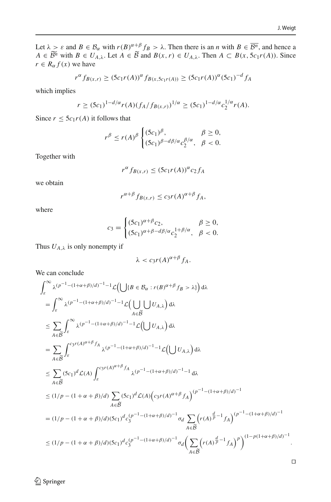Let  $\lambda > \varepsilon$  and  $B \in \mathcal{B}_{\alpha}$  with  $r(B)^{\alpha+\beta} f_B > \lambda$ . Then there is an *n* with  $B \in \overline{\mathcal{B}^n}$ , and hence a  $A \in \mathcal{B}^n$  with  $B \in U_{A,\lambda}$ . Let  $A \in \mathcal{B}$  and  $B(x,r) \in U_{A,\lambda}$ . Then  $A \subset B(x, 5c_1r(A))$ . Since  $r \in R_{\alpha} f(x)$  we have

$$
r^{\alpha} f_{B(x,r)} \ge (5c_1 r(A))^{\alpha} f_{B(x,5c_1 r(A))} \ge (5c_1 r(A))^{\alpha} (5c_1)^{-d} f_A
$$

which implies

$$
r \ge (5c_1)^{1-d/\alpha} r(A) (f_A/f_{B(x,r)})^{1/\alpha} \ge (5c_1)^{1-d/\alpha} c_2^{1/\alpha} r(A).
$$

Since  $r \le 5c_1r(A)$  it follows that

$$
r^{\beta} \le r(A)^{\beta} \begin{cases} (5c_1)^{\beta}, & \beta \ge 0, \\ (5c_1)^{\beta - d\beta/\alpha} c_2^{\beta/\alpha}, & \beta < 0. \end{cases}
$$

Together with

$$
r^{\alpha} f_{B(x,r)} \le (5c_1 r(A))^{\alpha} c_2 f_A
$$

we obtain

$$
r^{\alpha+\beta} f_{B(x,r)} \le c_3 r(A)^{\alpha+\beta} f_A,
$$

where

$$
c_3 = \begin{cases} (5c_1)^{\alpha+\beta}c_2, & \beta \ge 0, \\ (5c_1)^{\alpha+\beta-d\beta/\alpha}c_2^{1+\beta/\alpha}, & \beta < 0. \end{cases}
$$

Thus  $U_{A,\lambda}$  is only nonempty if

$$
\lambda < c_3 r(A)^{\alpha+\beta} f_A.
$$

We can conclude

$$
\begin{split} &\int_{\varepsilon}^{\infty} \lambda^{(p^{-1}-(1+\alpha+\beta)/d)^{-1}-1} \mathcal{L}\Big(\bigcup\{B\in \mathcal{B}_{\alpha}: r(B)^{\alpha+\beta}f_{B} > \lambda\}\Big)\,\mathrm{d}\lambda \\ &=\int_{\varepsilon}^{\infty} \lambda^{(p^{-1}-(1+\alpha+\beta)/d)^{-1}-1} \mathcal{L}\Big(\bigcup_{A\in \widetilde{B}} U_{A,\lambda}\Big)\,\mathrm{d}\lambda \\ &\leq \sum_{A\in \widetilde{\mathcal{B}}}\int_{\varepsilon}^{\infty} \lambda^{(p^{-1}-(1+\alpha+\beta)/d)^{-1}-1} \mathcal{L}\Big(\bigcup U_{A,\lambda}\Big)\,\mathrm{d}\lambda \\ &=\sum_{A\in \widetilde{\mathcal{B}}}\int_{\varepsilon}^{c_{3}r(A)^{\alpha+\beta}f_{A}} \lambda^{(p^{-1}-(1+\alpha+\beta)/d)^{-1}-1} \mathcal{L}\Big(\bigcup U_{A,\lambda}\Big)\,\mathrm{d}\lambda \\ &\leq \sum_{A\in \widetilde{\mathcal{B}}}\left(5c_{1}\right)^{d} \mathcal{L}(A)\int_{\varepsilon}^{c_{3}r(A)^{\alpha+\beta}f_{A}} \lambda^{(p^{-1}-(1+\alpha+\beta)/d)^{-1}-1}\,\mathrm{d}\lambda \\ &\leq (1/p-(1+\alpha+\beta)/d)\sum_{A\in \widetilde{\mathcal{B}}}\left(5c_{1}\right)^{d} \mathcal{L}(A)\Big(c_{3}r(A)^{\alpha+\beta}f_{A}\Big)^{(p^{-1}-(1+\alpha+\beta)/d)^{-1}} \\ &= (1/p-(1+\alpha+\beta)/d)(5c_{1})^{d}c_{3}^{(p^{-1}-(1+\alpha+\beta)/d)^{-1}}\sigma_{d}\sum_{A\in \widetilde{\mathcal{B}}}\Big(r(A)^{\frac{d}{p}-1}f_{A}\Big)^{(p^{-1}-(1+\alpha+\beta)/d)^{-1}} \\ &\leq (1/p-(1+\alpha+\beta)/d)(5c_{1})^{d}c_{3}^{(p^{-1}-(1+\alpha+\beta)/d)^{-1}}\sigma_{d}\Big(\sum_{A\in \widetilde{\mathcal{B}}}\Big(r(A)^{\frac{d}{p}-1}f_{A}\Big)^{p}\Big)^{(1-p(1+\alpha+\beta)/d)^{-1}}. \end{split}
$$

 $\hat{Z}$  Springer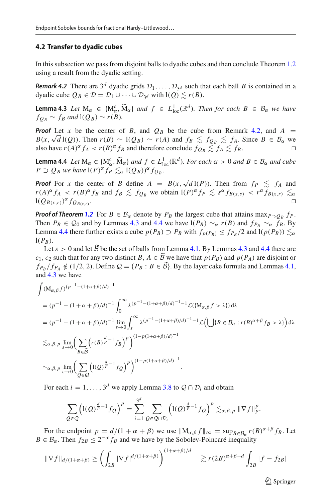#### **4.2 Transfer to dyadic cubes**

<span id="page-18-0"></span>In this subsection we pass from disjoint balls to dyadic cubes and then conclude Theorem [1.2](#page-3-0) using a result from the dyadic setting.

*Remark 4.2* There are  $3^d$  dyadic grids  $\mathcal{D}_1, \ldots, \mathcal{D}_{3^d}$  such that each ball *B* is contained in a dyadic cube  $Q_B \in \mathcal{D} = \mathcal{D}_1 \cup \cdots \cup \mathcal{D}_{3^d}$  with  $l(Q) \lesssim r(B)$ .

<span id="page-18-1"></span>**Lemma 4.3** *Let*  $M_{\alpha} \in \{M_{\alpha}^{c}, \widetilde{M}_{\alpha}\}$  *and*  $f \in L_{\text{loc}}^{1}(\mathbb{R}^{d})$ *. Then for each*  $B \in \mathcal{B}_{\alpha}$  *we have*  $f_{Q_B} \sim f_B$  *and*  $l(Q_B) \sim r(B)$ *.* 

*Proof* Let *x* be the center of *B*, and  $Q_B$  be the cube from Remark [4.2,](#page-18-0) and  $A =$ *B*(*x*,  $\sqrt{d}$  l(*Q*)). Then  $r(B) \sim l(Q_B) \sim r(A)$  and  $f_B \lesssim f_{Q_B} \lesssim f_A$ . Since  $B \in B_\alpha$  we also have  $r(A)^{\alpha} f_A < r(B)^{\alpha} f_B$  and therefore conclude  $f_{Q_B} \lesssim f_A \lesssim f_B$ .

<span id="page-18-2"></span>**Lemma 4.4** *Let*  $M_{\alpha} \in \{M_{\alpha}^{c}, \widetilde{M}_{\alpha}\}$  *and*  $f \in L_{\text{loc}}^{1}(\mathbb{R}^{d})$ *. For each*  $\alpha > 0$  *and*  $B \in \mathcal{B}_{\alpha}$  *and cube*  $B \supseteq \alpha$  *and*  $\alpha$  *and*  $\alpha$  *and*  $\alpha$  *and*  $\alpha$  *and*  $\alpha$  *and*  $\alpha$  *and*  $\alpha$  *a*  $P \supset Q_B$  *we have*  $I(P)^\alpha f_P \lesssim_\alpha I(Q_B)^\alpha f_{Q_B}$ .

*Proof* For *x* the center of *B* define  $A = B(x, \sqrt{d} l(P))$ . Then from  $f_P \le f_A$  and  $r(A)^{\alpha} f_A < r(B)^{\alpha} f_B$  and  $f_B \leq f_{Q_B}$  we obtain  $I(P)^{\alpha} f_P \leq s^{\alpha} f_{B(x,s)} < r^{\alpha} f_{B(x,r)} \leq s^{\alpha} f_{B(x,s)}$  $l(Q_{B(x,r)})^{\alpha} f_{Q_{B(x,r)}}.$ 

*Proof of Theorem* [1.2](#page-3-0) For  $B \in \mathcal{B}_{\alpha}$  denote by  $P_B$  the largest cube that attains max $P \supset Q_B$   $f_P$ . Then  $P_B \in Q_0$  and by Lemmas [4.3](#page-18-1) and [4.4](#page-18-2) we have  $I(P_B) \sim_\alpha r(B)$  and  $f_{P_B} \sim_\alpha f_B$ . By Lemma [4.4](#page-18-2) there further exists a cube  $p(P_B) \supset P_B$  with  $f_{p(P_B)} \leq f_{P_B}/2$  and  $l(p(P_B)) \lesssim_\alpha$  $l(P_B)$ .

Let  $\varepsilon > 0$  and let *B* be the set of balls from Lemma [4.1.](#page-16-1) By Lemmas [4.3](#page-18-1) and [4.4](#page-18-2) there are *c*<sub>1</sub>, *c*<sub>2</sub> such that for any two distinct *B*, *A* ∈ *B* we have that *p*(*P<sub>B</sub>*) and *p*(*P<sub>A</sub>*) are disjoint or  $f_{P_B}/f_{P_A} \notin (1/2, 2)$ . Define  $\mathcal{Q} = \{P_B : B \in \mathcal{B}\}$ . By the layer cake formula and Lemmas [4.1,](#page-16-1) and [4.3](#page-18-1) we have

$$
\int (M_{\alpha,\beta}f)^{(p-1-(1+\alpha+\beta)/d)^{-1}} \n= (p^{-1} - (1+\alpha+\beta)/d)^{-1} \int_0^\infty \lambda^{(p-1-(1+\alpha+\beta)/d)^{-1}-1} \mathcal{L}(\{M_{\alpha,\beta}f > \lambda\}) d\lambda \n= (p^{-1} - (1+\alpha+\beta)/d)^{-1} \lim_{\varepsilon \to 0} \int_{\varepsilon}^\infty \lambda^{(p-1-(1+\alpha+\beta)/d)^{-1}-1} \mathcal{L}(\bigcup \{B \in \mathcal{B}_\alpha : r(B)^{\alpha+\beta}f_B > \lambda\} \big) d\lambda \n\lesssim_{\alpha,\beta,p} \lim_{\varepsilon \to 0} \bigg( \sum_{B \in \widetilde{\mathcal{B}}} \bigg( r(B)^{\frac{d}{p}-1}f_B \bigg)^p \bigg)^{(1-p(1+\alpha+\beta)/d)^{-1}} \n\sim_{\alpha,\beta,p} \lim_{\varepsilon \to 0} \bigg( \sum_{Q \in \mathcal{Q}} \bigg( I(Q)^{\frac{d}{p}-1}f_Q \bigg)^p \bigg)^{(1-p(1+\alpha+\beta)/d)^{-1}}.
$$

For each  $i = 1, ..., 3^d$  we apply Lemma [3.8](#page-13-2) to  $\mathcal{Q} \cap \mathcal{D}_i$  and obtain

$$
\sum_{Q\in\mathcal{Q}}\left(\mathrm{l}(Q)^{\frac{d}{p}-1}f_{Q}\right)^{p}=\sum_{i=1}^{3^{d}}\sum_{Q\in\mathcal{Q}\cap\mathcal{D}_{i}}\left(\mathrm{l}(Q)^{\frac{d}{p}-1}f_{Q}\right)^{p}\lesssim_{\alpha,\beta,p}\Vert \nabla f\Vert_{p}^{p}.
$$

For the endpoint  $p = d/(1 + \alpha + \beta)$  we use  $||M_{\alpha,\beta} f||_{\infty} = \sup_{B \in \mathcal{B}_{\alpha}} r(B)^{\alpha+\beta} f_B$ . Let  $B \in \mathcal{B}_{\alpha}$ . Then  $f_{2B} \leq 2^{-\alpha} f_B$  and we have by the Sobolev-Poincaré inequality

$$
\|\nabla f\|_{d/(1+\alpha+\beta)} \ge \left(\int_{2B} |\nabla f|^{d/(1+\alpha+\beta)}\right)^{(1+\alpha+\beta)/d} \ge r(2B)^{\alpha+\beta-d} \int_{2B} |f - f_{2B}|
$$

 $\mathcal{L}$  Springer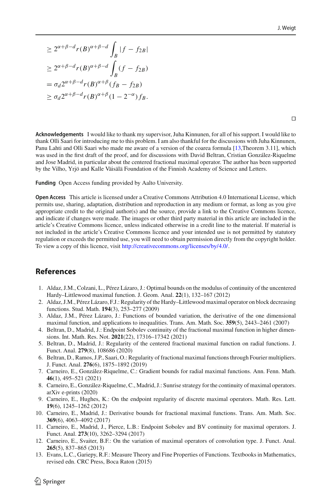$$
\geq 2^{\alpha+\beta-d} r(B)^{\alpha+\beta-d} \int_B |f - f_{2B}|
$$
  
\n
$$
\geq 2^{\alpha+\beta-d} r(B)^{\alpha+\beta-d} \int_B (f - f_{2B})
$$
  
\n
$$
= \sigma_d 2^{\alpha+\beta-d} r(B)^{\alpha+\beta} (f_B - f_{2B})
$$
  
\n
$$
\geq \sigma_d 2^{\alpha+\beta-d} r(B)^{\alpha+\beta} (1 - 2^{-\alpha}) f_B.
$$

 $\Box$ 

**Acknowledgements** I would like to thank my supervisor, Juha Kinnunen, for all of his support. I would like to thank Olli Saari for introducing me to this problem. I am also thankful for the discussions with Juha Kinnunen, Panu Lahti and Olli Saari who made me aware of a version of the coarea formula [\[13,](#page-19-12)Theorem 3.11], which was used in the first draft of the proof, and for discussions with David Beltran, Cristian González-Riquelme and Jose Madrid, in particular about the centered fractional maximal operator. The author has been supported by the Vilho, Yrjö and Kalle Väisälä Foundation of the Finnish Academy of Science and Letters.

**Funding** Open Access funding provided by Aalto University.

**Open Access** This article is licensed under a Creative Commons Attribution 4.0 International License, which permits use, sharing, adaptation, distribution and reproduction in any medium or format, as long as you give appropriate credit to the original author(s) and the source, provide a link to the Creative Commons licence, and indicate if changes were made. The images or other third party material in this article are included in the article's Creative Commons licence, unless indicated otherwise in a credit line to the material. If material is not included in the article's Creative Commons licence and your intended use is not permitted by statutory regulation or exceeds the permitted use, you will need to obtain permission directly from the copyright holder. To view a copy of this licence, visit [http://creativecommons.org/licenses/by/4.0/.](http://creativecommons.org/licenses/by/4.0/)

## **References**

- <span id="page-19-2"></span>1. Aldaz, J.M., Colzani, L., Pérez Lázaro, J.: Optimal bounds on the modulus of continuity of the uncentered Hardy–Littlewood maximal function. J. Geom. Anal. **22**(1), 132–167 (2012)
- <span id="page-19-1"></span>2. Aldaz, J.M., Pérez Lázaro, F.J.: Regularity of the Hardy–Littlewood maximal operator on block decreasing functions. Stud. Math. **194**(3), 253–277 (2009)
- <span id="page-19-0"></span>3. Aldaz, J.M., Pérez Lázaro, J.: Functions of bounded variation, the derivative of the one dimensional maximal function, and applications to inequalities. Trans. Am. Math. Soc. **359**(5), 2443–2461 (2007)
- <span id="page-19-11"></span>4. Beltran, D., Madrid, J.: Endpoint Sobolev continuity of the fractional maximal function in higher dimensions. Int. Math. Res. Not. **2021**(22), 17316–17342 (2021)
- <span id="page-19-9"></span>5. Beltran, D., Madrid, J.: Regularity of the centered fractional maximal function on radial functions. J. Funct. Anal. **279**(8), 108686 (2020)
- <span id="page-19-10"></span>6. Beltran, D., Ramos, J.P., Saari, O.: Regularity of fractional maximal functions through Fourier multipliers. J. Funct. Anal. **276**(6), 1875–1892 (2019)
- <span id="page-19-6"></span>7. Carneiro, E., González-Riquelme, C.: Gradient bounds for radial maximal functions. Ann. Fenn. Math. **46**(1), 495–521 (2021)
- <span id="page-19-4"></span>8. Carneiro, E., González-Riquelme, C., Madrid, J.: Sunrise strategy for the continuity of maximal operators. arXiv e-prints (2020)
- <span id="page-19-7"></span>9. Carneiro, E., Hughes, K.: On the endpoint regularity of discrete maximal operators. Math. Res. Lett. **19**(6), 1245–1262 (2012)
- <span id="page-19-8"></span>10. Carneiro, E., Madrid, J.: Derivative bounds for fractional maximal functions. Trans. Am. Math. Soc. **369**(6), 4063–4092 (2017)
- <span id="page-19-3"></span>11. Carneiro, E., Madrid, J., Pierce, L.B.: Endpoint Sobolev and BV continuity for maximal operators. J. Funct. Anal. **273**(10), 3262–3294 (2017)
- <span id="page-19-5"></span>12. Carneiro, E., Svaiter, B.F.: On the variation of maximal operators of convolution type. J. Funct. Anal. **265**(5), 837–865 (2013)
- <span id="page-19-12"></span>13. Evans, L.C., Gariepy, R.F.: Measure Theory and Fine Properties of Functions. Textbooks in Mathematics, revised edn. CRC Press, Boca Raton (2015)